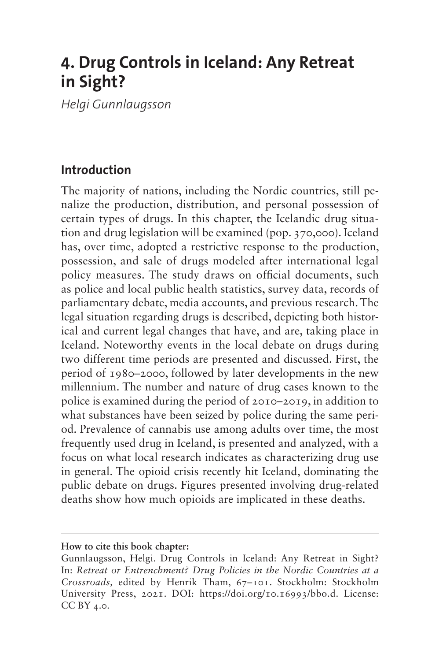# **4. Drug Controls in Iceland: Any Retreat in Sight?**

*Helgi Gunnlaugsson*

# **Introduction**

The majority of nations, including the Nordic countries, still penalize the production, distribution, and personal possession of certain types of drugs. In this chapter, the Icelandic drug situation and drug legislation will be examined (pop. 370,000). Iceland has, over time, adopted a restrictive response to the production, possession, and sale of drugs modeled after international legal policy measures. The study draws on official documents, such as police and local public health statistics, survey data, records of parliamentary debate, media accounts, and previous research. The legal situation regarding drugs is described, depicting both historical and current legal changes that have, and are, taking place in Iceland. Noteworthy events in the local debate on drugs during two different time periods are presented and discussed. First, the period of 1980–2000, followed by later developments in the new millennium. The number and nature of drug cases known to the police is examined during the period of 2010–2019, in addition to what substances have been seized by police during the same period. Prevalence of cannabis use among adults over time, the most frequently used drug in Iceland, is presented and analyzed, with a focus on what local research indicates as characterizing drug use in general. The opioid crisis recently hit Iceland, dominating the public debate on drugs. Figures presented involving drug-related deaths show how much opioids are implicated in these deaths.

**How to cite this book chapter:**

Gunnlaugsson, Helgi. Drug Controls in Iceland: Any Retreat in Sight? In: *Retreat or Entrenchment? Drug Policies in the Nordic Countries at a Crossroads,* edited by Henrik Tham, 67–101. Stockholm: Stockholm University Press, 2021. DOI: [https://doi.org/10.16993/bbo.d.](https://doi.org/10.16993/bbo.d) License: CC BY 4.0.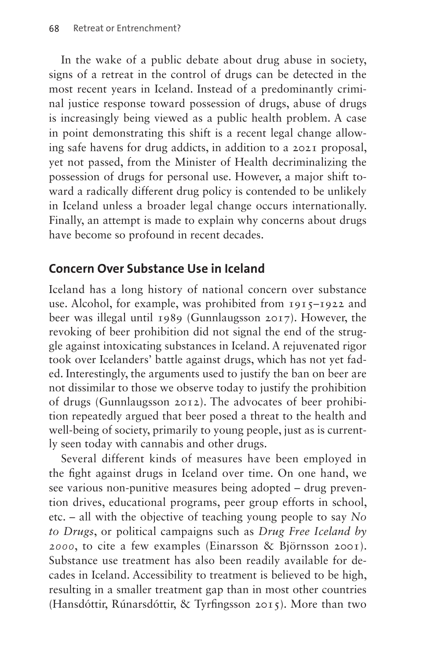In the wake of a public debate about drug abuse in society, signs of a retreat in the control of drugs can be detected in the most recent years in Iceland. Instead of a predominantly criminal justice response toward possession of drugs, abuse of drugs is increasingly being viewed as a public health problem. A case in point demonstrating this shift is a recent legal change allowing safe havens for drug addicts, in addition to a 2021 proposal, yet not passed, from the Minister of Health decriminalizing the possession of drugs for personal use. However, a major shift toward a radically different drug policy is contended to be unlikely in Iceland unless a broader legal change occurs internationally. Finally, an attempt is made to explain why concerns about drugs have become so profound in recent decades.

# **Concern Over Substance Use in Iceland**

Iceland has a long history of national concern over substance use. Alcohol, for example, was prohibited from 1915–1922 and beer was illegal until 1989 (Gunnlaugsson 2017). However, the revoking of beer prohibition did not signal the end of the struggle against intoxicating substances in Iceland. A rejuvenated rigor took over Icelanders' battle against drugs, which has not yet faded. Interestingly, the arguments used to justify the ban on beer are not dissimilar to those we observe today to justify the prohibition of drugs (Gunnlaugsson 2012). The advocates of beer prohibition repeatedly argued that beer posed a threat to the health and well-being of society, primarily to young people, just as is currently seen today with cannabis and other drugs.

Several different kinds of measures have been employed in the fight against drugs in Iceland over time. On one hand, we see various non-punitive measures being adopted – drug prevention drives, educational programs, peer group efforts in school, etc. – all with the objective of teaching young people to say *No to Drugs*, or political campaigns such as *Drug Free Iceland by 2000*, to cite a few examples (Einarsson & Björnsson 2001). Substance use treatment has also been readily available for decades in Iceland. Accessibility to treatment is believed to be high, resulting in a smaller treatment gap than in most other countries (Hansdóttir, Rúnarsdóttir, & Tyrfingsson 2015). More than two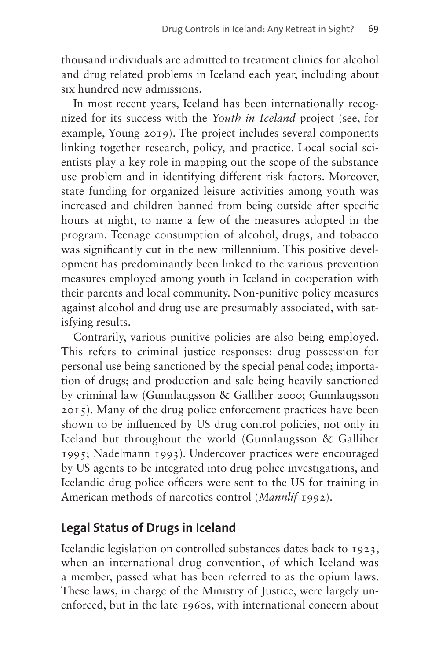thousand individuals are admitted to treatment clinics for alcohol and drug related problems in Iceland each year, including about six hundred new admissions.

In most recent years, Iceland has been internationally recognized for its success with the *Youth in Iceland* project (see, for example, Young 2019). The project includes several components linking together research, policy, and practice. Local social scientists play a key role in mapping out the scope of the substance use problem and in identifying different risk factors. Moreover, state funding for organized leisure activities among youth was increased and children banned from being outside after specific hours at night, to name a few of the measures adopted in the program. Teenage consumption of alcohol, drugs, and tobacco was significantly cut in the new millennium. This positive development has predominantly been linked to the various prevention measures employed among youth in Iceland in cooperation with their parents and local community. Non-punitive policy measures against alcohol and drug use are presumably associated, with satisfying results.

Contrarily, various punitive policies are also being employed. This refers to criminal justice responses: drug possession for personal use being sanctioned by the special penal code; importation of drugs; and production and sale being heavily sanctioned by criminal law (Gunnlaugsson & Galliher 2000; Gunnlaugsson 2015). Many of the drug police enforcement practices have been shown to be influenced by US drug control policies, not only in Iceland but throughout the world (Gunnlaugsson & Galliher 1995; Nadelmann 1993). Undercover practices were encouraged by US agents to be integrated into drug police investigations, and Icelandic drug police officers were sent to the US for training in American methods of narcotics control (*Mannlíf* 1992).

# **Legal Status of Drugs in Iceland**

Icelandic legislation on controlled substances dates back to 1923, when an international drug convention, of which Iceland was a member, passed what has been referred to as the opium laws. These laws, in charge of the Ministry of Justice, were largely unenforced, but in the late 1960s, with international concern about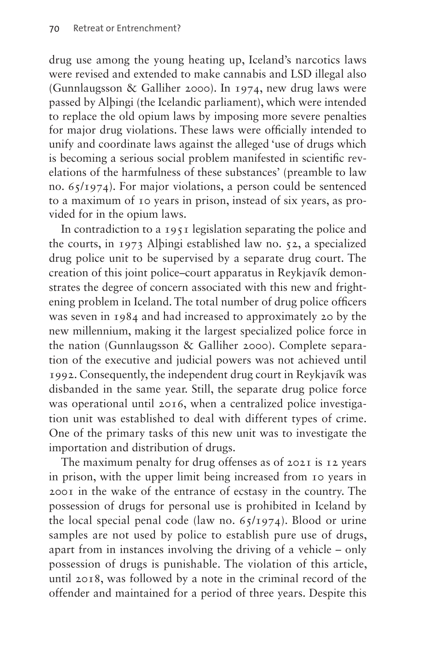drug use among the young heating up, Iceland's narcotics laws were revised and extended to make cannabis and LSD illegal also (Gunnlaugsson & Galliher 2000). In 1974, new drug laws were passed by Alþingi (the Icelandic parliament), which were intended to replace the old opium laws by imposing more severe penalties for major drug violations. These laws were officially intended to unify and coordinate laws against the alleged 'use of drugs which is becoming a serious social problem manifested in scientific revelations of the harmfulness of these substances' (preamble to law no. 65/1974). For major violations, a person could be sentenced to a maximum of 10 years in prison, instead of six years, as provided for in the opium laws.

In contradiction to a 1951 legislation separating the police and the courts, in 1973 Alþingi established law no. 52, a specialized drug police unit to be supervised by a separate drug court. The creation of this joint police–court apparatus in Reykjavík demonstrates the degree of concern associated with this new and frightening problem in Iceland. The total number of drug police officers was seven in 1984 and had increased to approximately 20 by the new millennium, making it the largest specialized police force in the nation (Gunnlaugsson & Galliher 2000). Complete separation of the executive and judicial powers was not achieved until 1992. Consequently, the independent drug court in Reykjavík was disbanded in the same year. Still, the separate drug police force was operational until 2016, when a centralized police investigation unit was established to deal with different types of crime. One of the primary tasks of this new unit was to investigate the importation and distribution of drugs.

The maximum penalty for drug offenses as of 2021 is 12 years in prison, with the upper limit being increased from 10 years in 2001 in the wake of the entrance of ecstasy in the country. The possession of drugs for personal use is prohibited in Iceland by the local special penal code (law no.  $65/1974$ ). Blood or urine samples are not used by police to establish pure use of drugs, apart from in instances involving the driving of a vehicle – only possession of drugs is punishable. The violation of this article, until 2018, was followed by a note in the criminal record of the offender and maintained for a period of three years. Despite this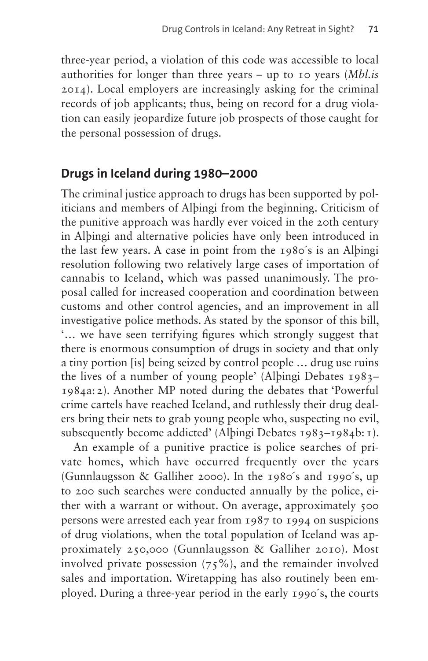three-year period, a violation of this code was accessible to local authorities for longer than three years – up to 10 years (*Mbl.is* 2014). Local employers are increasingly asking for the criminal records of job applicants; thus, being on record for a drug violation can easily jeopardize future job prospects of those caught for the personal possession of drugs.

#### **Drugs in Iceland during 1980–2000**

The criminal justice approach to drugs has been supported by politicians and members of Alþingi from the beginning. Criticism of the punitive approach was hardly ever voiced in the 20th century in Alþingi and alternative policies have only been introduced in the last few years. A case in point from the 1980´s is an Alþingi resolution following two relatively large cases of importation of cannabis to Iceland, which was passed unanimously. The proposal called for increased cooperation and coordination between customs and other control agencies, and an improvement in all investigative police methods. As stated by the sponsor of this bill, '… we have seen terrifying figures which strongly suggest that there is enormous consumption of drugs in society and that only a tiny portion [is] being seized by control people … drug use ruins the lives of a number of young people' (Alþingi Debates 1983– 1984a:2). Another MP noted during the debates that 'Powerful crime cartels have reached Iceland, and ruthlessly their drug dealers bring their nets to grab young people who, suspecting no evil, subsequently become addicted' (Alþingi Debates 1983-1984b: 1).

An example of a punitive practice is police searches of private homes, which have occurred frequently over the years (Gunnlaugsson & Galliher 2000). In the 1980´s and 1990´s, up to 200 such searches were conducted annually by the police, either with a warrant or without. On average, approximately 500 persons were arrested each year from 1987 to 1994 on suspicions of drug violations, when the total population of Iceland was approximately 250,000 (Gunnlaugsson & Galliher 2010). Most involved private possession  $(75\%)$ , and the remainder involved sales and importation. Wiretapping has also routinely been employed. During a three-year period in the early 1990´s, the courts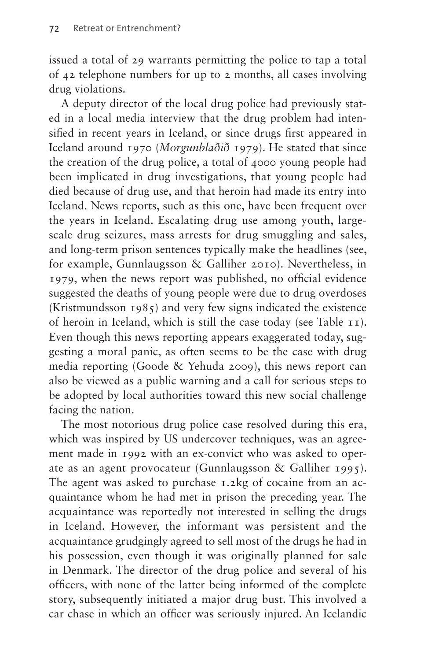issued a total of 29 warrants permitting the police to tap a total of 42 telephone numbers for up to 2 months, all cases involving drug violations.

A deputy director of the local drug police had previously stated in a local media interview that the drug problem had intensified in recent years in Iceland, or since drugs first appeared in Iceland around 1970 (*Morgunblaðið* 1979). He stated that since the creation of the drug police, a total of 4000 young people had been implicated in drug investigations, that young people had died because of drug use, and that heroin had made its entry into Iceland. News reports, such as this one, have been frequent over the years in Iceland. Escalating drug use among youth, largescale drug seizures, mass arrests for drug smuggling and sales, and long-term prison sentences typically make the headlines (see, for example, Gunnlaugsson & Galliher 2010). Nevertheless, in 1979, when the news report was published, no official evidence suggested the deaths of young people were due to drug overdoses (Kristmundsson 1985) and very few signs indicated the existence of heroin in Iceland, which is still the case today (see [Table 11](#page-9-0)). Even though this news reporting appears exaggerated today, suggesting a moral panic, as often seems to be the case with drug media reporting (Goode & Yehuda 2009), this news report can also be viewed as a public warning and a call for serious steps to be adopted by local authorities toward this new social challenge facing the nation.

The most notorious drug police case resolved during this era, which was inspired by US undercover techniques, was an agreement made in 1992 with an ex-convict who was asked to operate as an agent provocateur (Gunnlaugsson & Galliher 1995). The agent was asked to purchase 1.2kg of cocaine from an acquaintance whom he had met in prison the preceding year. The acquaintance was reportedly not interested in selling the drugs in Iceland. However, the informant was persistent and the acquaintance grudgingly agreed to sell most of the drugs he had in his possession, even though it was originally planned for sale in Denmark. The director of the drug police and several of his officers, with none of the latter being informed of the complete story, subsequently initiated a major drug bust. This involved a car chase in which an officer was seriously injured. An Icelandic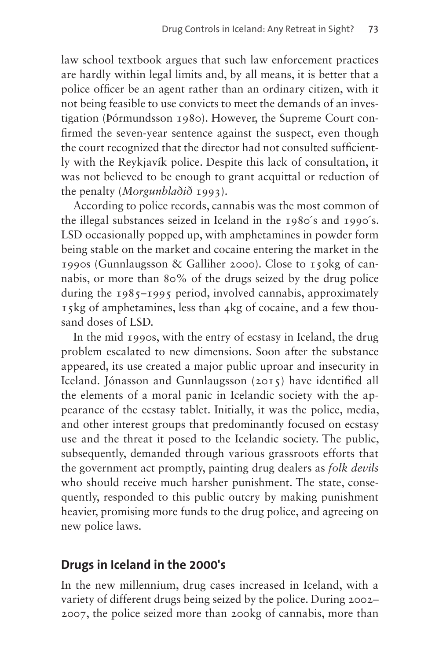law school textbook argues that such law enforcement practices are hardly within legal limits and, by all means, it is better that a police officer be an agent rather than an ordinary citizen, with it not being feasible to use convicts to meet the demands of an investigation (Þórmundsson 1980). However, the Supreme Court confirmed the seven-year sentence against the suspect, even though the court recognized that the director had not consulted sufficiently with the Reykjavík police. Despite this lack of consultation, it was not believed to be enough to grant acquittal or reduction of the penalty (*Morgunblaðið* 1993).

According to police records, cannabis was the most common of the illegal substances seized in Iceland in the 1980´s and 1990´s. LSD occasionally popped up, with amphetamines in powder form being stable on the market and cocaine entering the market in the 1990s (Gunnlaugsson & Galliher 2000). Close to 150kg of cannabis, or more than 80% of the drugs seized by the drug police during the 1985–1995 period, involved cannabis, approximately 15kg of amphetamines, less than 4kg of cocaine, and a few thousand doses of LSD.

In the mid 1990s, with the entry of ecstasy in Iceland, the drug problem escalated to new dimensions. Soon after the substance appeared, its use created a major public uproar and insecurity in Iceland. Jónasson and Gunnlaugsson (2015) have identified all the elements of a moral panic in Icelandic society with the appearance of the ecstasy tablet. Initially, it was the police, media, and other interest groups that predominantly focused on ecstasy use and the threat it posed to the Icelandic society. The public, subsequently, demanded through various grassroots efforts that the government act promptly, painting drug dealers as *folk devils* who should receive much harsher punishment. The state, consequently, responded to this public outcry by making punishment heavier, promising more funds to the drug police, and agreeing on new police laws.

#### **Drugs in Iceland in the 2000's**

In the new millennium, drug cases increased in Iceland, with a variety of different drugs being seized by the police. During 2002– 2007, the police seized more than 200kg of cannabis, more than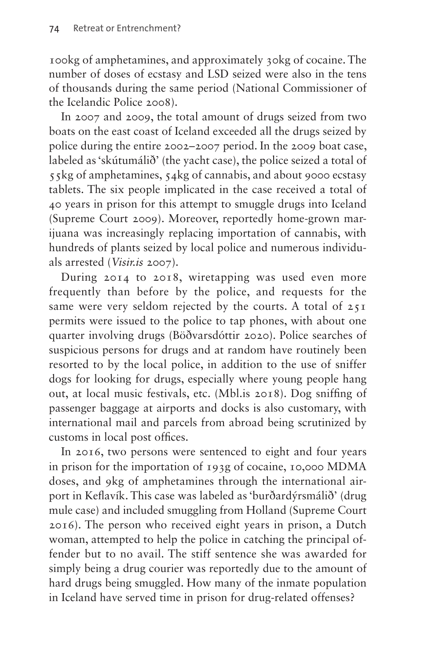100kg of amphetamines, and approximately 30kg of cocaine. The number of doses of ecstasy and LSD seized were also in the tens of thousands during the same period (National Commissioner of the Icelandic Police 2008).

In 2007 and 2009, the total amount of drugs seized from two boats on the east coast of Iceland exceeded all the drugs seized by police during the entire 2002–2007 period. In the 2009 boat case, labeled as 'skútumálið' (the yacht case), the police seized a total of 55kg of amphetamines, 54kg of cannabis, and about 9000 ecstasy tablets. The six people implicated in the case received a total of 40 years in prison for this attempt to smuggle drugs into Iceland (Supreme Court 2009). Moreover, reportedly home-grown marijuana was increasingly replacing importation of cannabis, with hundreds of plants seized by local police and numerous individuals arrested (*Visir.is* 2007).

During 2014 to 2018, wiretapping was used even more frequently than before by the police, and requests for the same were very seldom rejected by the courts. A total of 251 permits were issued to the police to tap phones, with about one quarter involving drugs (Böðvarsdóttir 2020). Police searches of suspicious persons for drugs and at random have routinely been resorted to by the local police, in addition to the use of sniffer dogs for looking for drugs, especially where young people hang out, at local music festivals, etc. ([Mbl.is](http://Mbl.is) 2018). Dog sniffing of passenger baggage at airports and docks is also customary, with international mail and parcels from abroad being scrutinized by customs in local post offices.

In 2016, two persons were sentenced to eight and four years in prison for the importation of 193g of cocaine, 10,000 MDMA doses, and 9kg of amphetamines through the international airport in Keflavík. This case was labeled as 'burðardýrsmálið' (drug mule case) and included smuggling from Holland (Supreme Court 2016). The person who received eight years in prison, a Dutch woman, attempted to help the police in catching the principal offender but to no avail. The stiff sentence she was awarded for simply being a drug courier was reportedly due to the amount of hard drugs being smuggled. How many of the inmate population in Iceland have served time in prison for drug-related offenses?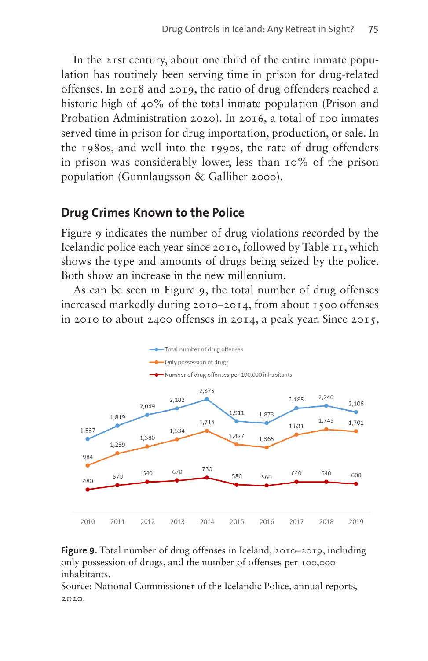In the 21st century, about one third of the entire inmate population has routinely been serving time in prison for drug-related offenses. In 2018 and 2019, the ratio of drug offenders reached a historic high of 40% of the total inmate population (Prison and Probation Administration 2020). In 2016, a total of 100 inmates served time in prison for drug importation, production, or sale. In the 1980s, and well into the 1990s, the rate of drug offenders in prison was considerably lower, less than 10% of the prison population (Gunnlaugsson & Galliher 2000).

### **Drug Crimes Known to the Police**

[Figure 9](#page-8-0) indicates the number of drug violations recorded by the Icelandic police each year since 2010, followed by [Table 11](#page-9-0), which shows the type and amounts of drugs being seized by the police. Both show an increase in the new millennium.

As can be seen in [Figure 9](#page-8-0), the total number of drug offenses increased markedly during 2010–2014, from about 1500 offenses in 2010 to about 2400 offenses in 2014, a peak year. Since 2015,



<span id="page-8-0"></span>**Figure 9.** Total number of drug offenses in Iceland, 2010–2019, including only possession of drugs, and the number of offenses per 100,000 inhabitants.

Source: National Commissioner of the Icelandic Police, annual reports, 2020.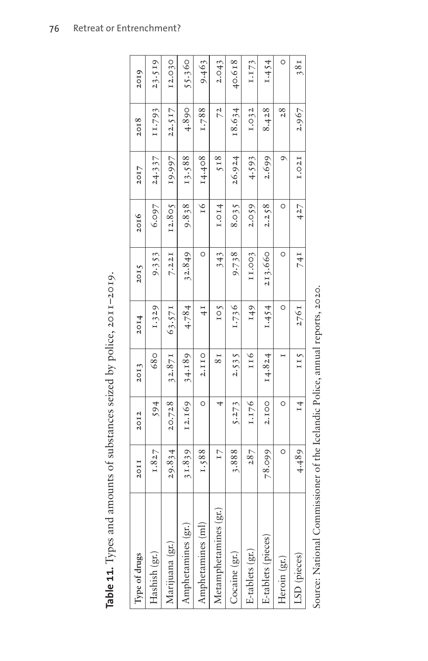| Table 11. Types and amounts of substances seized by police, 2011-2019. |         |              |         |               |         |                    |         |        |         |
|------------------------------------------------------------------------|---------|--------------|---------|---------------|---------|--------------------|---------|--------|---------|
| Type of drugs                                                          | 20II    | 20I2         | 20I3    | 2014          | 2015    | 2016               | 20I7    | 2018   | 2019    |
| Hashish (gr.)                                                          | 1.827   | 594          | 680     | 1.329         | 9.353   | 6.097              | 24.337  | II.793 | 23.519  |
| Marijuana (gr.)                                                        | 29.834  | 20.728       | 32.871  | 63.571        | 7.221   | I2.805             | 19.997  | 22.517 | I2.030  |
| Amphetamines (gr.)                                                     | 31.839  | I2.169       | 34.189. | 4.784         | 32.849  | 9.838              | 13.588  | 4.890  | 55.360  |
| Amphetamines (ml)                                                      | 1.588   | $\circ$      | 2.IIO   | $\frac{1}{4}$ | O       | 16                 | 14.408. | 1.788  | 9.463   |
| Metamphetamines (gr.)                                                  | I7      |              | $_{81}$ | 105           | 343     | I.O <sub>I</sub> 4 | 518     | 72     | 2.043   |
| Cocaine (gr.                                                           | 3.888   | 5.273        | 2.535   | 1.736         | 9.738   | 8.035              | 26.924  | 18.634 | 40.618  |
| E-tablets (gr.)                                                        | 287     | 1.176        | 116     | I49           | II.003  | 2.059              | 4.593   | I.032  | I.I73   |
| E-tablets (pieces)                                                     | 78.099  | <b>2.IOO</b> | 14.824  | 1.454         | 213.660 | 2.258              | 2.699   | 8.428  | I.454   |
| Heroin (gr.)                                                           | $\circ$ | $\circ$      |         | $\circ$       | $\circ$ | O                  | ᡋ       | 28     | $\circ$ |
| LSD (pieces)                                                           | 4.489   | $^{14}$      | II5     | 276I          | 74 I    | 427                | 1.021   | 2.967  | 58t     |

<span id="page-9-0"></span>Table 11. Types and amounts of substances seized by police, 2011-2019.

Source: National Commissioner of the Icelandic Police, annual reports, 2020. Source: National Commissioner of the Icelandic Police, annual reports, 2020.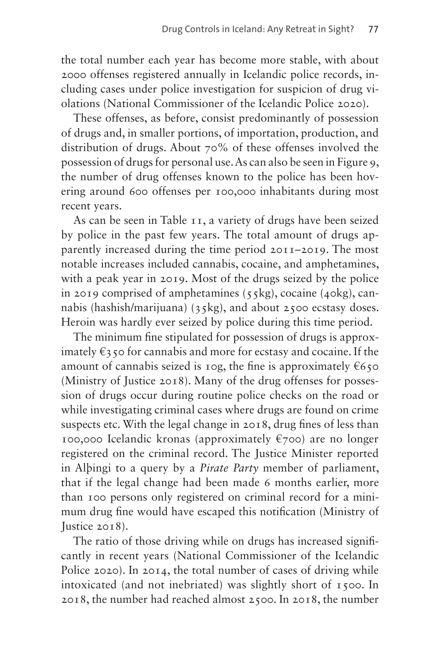the total number each year has become more stable, with about 2000 offenses registered annually in Icelandic police records, including cases under police investigation for suspicion of drug violations (National Commissioner of the Icelandic Police 2020).

These offenses, as before, consist predominantly of possession of drugs and, in smaller portions, of importation, production, and distribution of drugs. About 70% of these offenses involved the possession of drugs for personal use. As can also be seen in [Figure 9,](#page-8-0) the number of drug offenses known to the police has been hovering around 600 offenses per 100,000 inhabitants during most recent years.

As can be seen in [Table 11](#page-9-0), a variety of drugs have been seized by police in the past few years. The total amount of drugs apparently increased during the time period 2011–2019. The most notable increases included cannabis, cocaine, and amphetamines, with a peak year in 2019. Most of the drugs seized by the police in 2019 comprised of amphetamines  $(55kg)$ , cocaine  $(40kg)$ , cannabis (hashish/marijuana) (35kg), and about 2500 ecstasy doses. Heroin was hardly ever seized by police during this time period.

The minimum fine stipulated for possession of drugs is approximately  $\epsilon_3$  50 for cannabis and more for ecstasy and cocaine. If the amount of cannabis seized is 10g, the fine is approximately  $€650$ (Ministry of Justice 2018). Many of the drug offenses for possession of drugs occur during routine police checks on the road or while investigating criminal cases where drugs are found on crime suspects etc. With the legal change in 2018, drug fines of less than 100,000 Icelandic kronas (approximately  $\epsilon$ 700) are no longer registered on the criminal record. The Justice Minister reported in Alþingi to a query by a *Pirate Party* member of parliament, that if the legal change had been made 6 months earlier, more than 100 persons only registered on criminal record for a minimum drug fine would have escaped this notification (Ministry of Justice 2018).

The ratio of those driving while on drugs has increased significantly in recent years (National Commissioner of the Icelandic Police 2020). In 2014, the total number of cases of driving while intoxicated (and not inebriated) was slightly short of 1500. In 2018, the number had reached almost 2500. In 2018, the number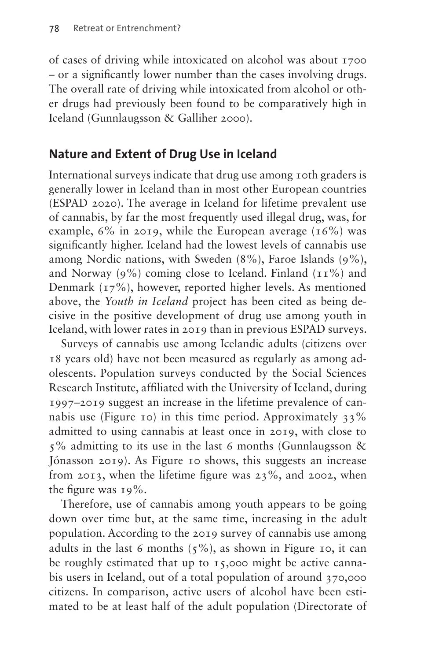of cases of driving while intoxicated on alcohol was about 1700 – or a significantly lower number than the cases involving drugs. The overall rate of driving while intoxicated from alcohol or other drugs had previously been found to be comparatively high in Iceland (Gunnlaugsson & Galliher 2000).

# **Nature and Extent of Drug Use in Iceland**

International surveys indicate that drug use among 10th graders is generally lower in Iceland than in most other European countries (ESPAD 2020). The average in Iceland for lifetime prevalent use of cannabis, by far the most frequently used illegal drug, was, for example,  $6\%$  in 2019, while the European average (16%) was significantly higher. Iceland had the lowest levels of cannabis use among Nordic nations, with Sweden (8%), Faroe Islands (9%), and Norway (9%) coming close to Iceland. Finland  $(11\%)$  and Denmark (17%), however, reported higher levels. As mentioned above, the *Youth in Iceland* project has been cited as being decisive in the positive development of drug use among youth in Iceland, with lower rates in 2019 than in previous ESPAD surveys.

Surveys of cannabis use among Icelandic adults (citizens over 18 years old) have not been measured as regularly as among adolescents. Population surveys conducted by the Social Sciences Research Institute, affiliated with the University of Iceland, during 1997–2019 suggest an increase in the lifetime prevalence of can-nabis use ([Figure 10\)](#page-12-0) in this time period. Approximately  $33\%$ admitted to using cannabis at least once in 2019, with close to  $5\%$  admitting to its use in the last 6 months (Gunnlaugsson & Jónasson 2019). As [Figure 10](#page-12-0) shows, this suggests an increase from 2013, when the lifetime figure was 23%, and 2002, when the figure was 19%.

Therefore, use of cannabis among youth appears to be going down over time but, at the same time, increasing in the adult population. According to the 2019 survey of cannabis use among adults in the last 6 months  $(5\%)$ , as shown in [Figure 10,](#page-12-0) it can be roughly estimated that up to 15,000 might be active cannabis users in Iceland, out of a total population of around 370,000 citizens. In comparison, active users of alcohol have been estimated to be at least half of the adult population (Directorate of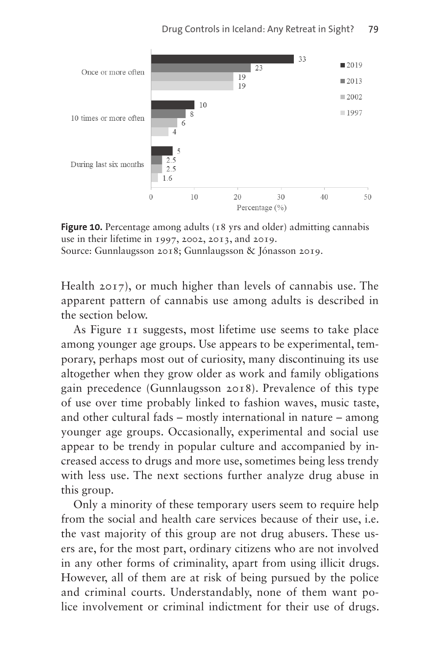

<span id="page-12-0"></span>**Figure 10.** Percentage among adults (18 yrs and older) admitting cannabis use in their lifetime in 1997, 2002, 2013, and 2019. Source: Gunnlaugsson 2018; Gunnlaugsson & Jónasson 2019.

Health 2017), or much higher than levels of cannabis use. The apparent pattern of cannabis use among adults is described in the section below.

As [Figure 11](#page-13-0) suggests, most lifetime use seems to take place among younger age groups. Use appears to be experimental, temporary, perhaps most out of curiosity, many discontinuing its use altogether when they grow older as work and family obligations gain precedence (Gunnlaugsson 2018). Prevalence of this type of use over time probably linked to fashion waves, music taste, and other cultural fads – mostly international in nature – among younger age groups. Occasionally, experimental and social use appear to be trendy in popular culture and accompanied by increased access to drugs and more use, sometimes being less trendy with less use. The next sections further analyze drug abuse in this group.

Only a minority of these temporary users seem to require help from the social and health care services because of their use, i.e. the vast majority of this group are not drug abusers. These users are, for the most part, ordinary citizens who are not involved in any other forms of criminality, apart from using illicit drugs. However, all of them are at risk of being pursued by the police and criminal courts. Understandably, none of them want police involvement or criminal indictment for their use of drugs.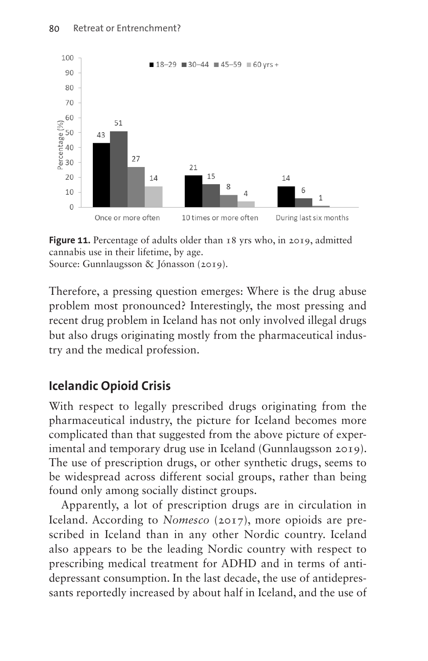

<span id="page-13-0"></span>**Figure 11.** Percentage of adults older than 18 yrs who, in 2019, admitted cannabis use in their lifetime, by age. Source: Gunnlaugsson & Jónasson (2019).

Therefore, a pressing question emerges: Where is the drug abuse problem most pronounced? Interestingly, the most pressing and recent drug problem in Iceland has not only involved illegal drugs but also drugs originating mostly from the pharmaceutical industry and the medical profession.

# **Icelandic Opioid Crisis**

With respect to legally prescribed drugs originating from the pharmaceutical industry, the picture for Iceland becomes more complicated than that suggested from the above picture of experimental and temporary drug use in Iceland (Gunnlaugsson 2019). The use of prescription drugs, or other synthetic drugs, seems to be widespread across different social groups, rather than being found only among socially distinct groups.

Apparently, a lot of prescription drugs are in circulation in Iceland. According to *Nomesco* (2017), more opioids are prescribed in Iceland than in any other Nordic country. Iceland also appears to be the leading Nordic country with respect to prescribing medical treatment for ADHD and in terms of antidepressant consumption. In the last decade, the use of antidepressants reportedly increased by about half in Iceland, and the use of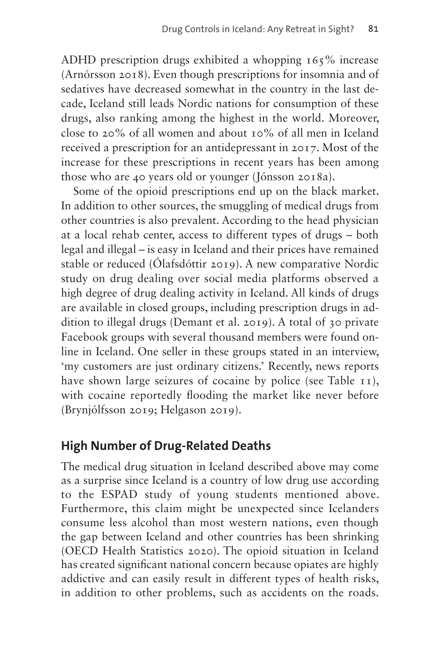ADHD prescription drugs exhibited a whopping 165% increase (Arnórsson 2018). Even though prescriptions for insomnia and of sedatives have decreased somewhat in the country in the last decade, Iceland still leads Nordic nations for consumption of these drugs, also ranking among the highest in the world. Moreover, close to 20% of all women and about 10% of all men in Iceland received a prescription for an antidepressant in 2017. Most of the increase for these prescriptions in recent years has been among those who are 40 years old or younger (Jónsson 2018a).

Some of the opioid prescriptions end up on the black market. In addition to other sources, the smuggling of medical drugs from other countries is also prevalent. According to the head physician at a local rehab center, access to different types of drugs – both legal and illegal – is easy in Iceland and their prices have remained stable or reduced (Ólafsdóttir 2019). A new comparative Nordic study on drug dealing over social media platforms observed a high degree of drug dealing activity in Iceland. All kinds of drugs are available in closed groups, including prescription drugs in addition to illegal drugs (Demant et al. 2019). A total of 30 private Facebook groups with several thousand members were found online in Iceland. One seller in these groups stated in an interview, 'my customers are just ordinary citizens.' Recently, news reports have shown large seizures of cocaine by police (see [Table 11](#page-9-0)), with cocaine reportedly flooding the market like never before (Brynjólfsson 2019; Helgason 2019).

# **High Number of Drug-Related Deaths**

The medical drug situation in Iceland described above may come as a surprise since Iceland is a country of low drug use according to the ESPAD study of young students mentioned above. Furthermore, this claim might be unexpected since Icelanders consume less alcohol than most western nations, even though the gap between Iceland and other countries has been shrinking (OECD Health Statistics 2020). The opioid situation in Iceland has created significant national concern because opiates are highly addictive and can easily result in different types of health risks, in addition to other problems, such as accidents on the roads.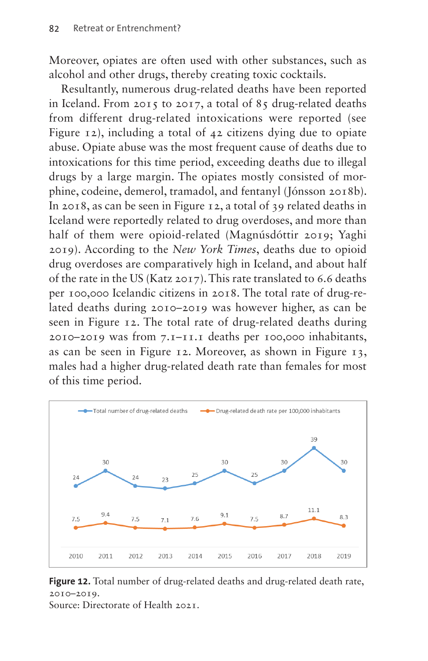Moreover, opiates are often used with other substances, such as alcohol and other drugs, thereby creating toxic cocktails.

Resultantly, numerous drug-related deaths have been reported in Iceland. From 2015 to 2017, a total of 85 drug-related deaths from different drug-related intoxications were reported (see [Figure 12](#page-15-0)), including a total of 42 citizens dying due to opiate abuse. Opiate abuse was the most frequent cause of deaths due to intoxications for this time period, exceeding deaths due to illegal drugs by a large margin. The opiates mostly consisted of morphine, codeine, demerol, tramadol, and fentanyl (Jónsson 2018b). In 2018, as can be seen in [Figure 12](#page-15-0), a total of 39 related deaths in Iceland were reportedly related to drug overdoses, and more than half of them were opioid-related (Magnúsdóttir 2019; Yaghi 2019). According to the *New York Times*, deaths due to opioid drug overdoses are comparatively high in Iceland, and about half of the rate in the US (Katz 2017). This rate translated to 6.6 deaths per 100,000 Icelandic citizens in 2018. The total rate of drug-related deaths during 2010–2019 was however higher, as can be seen in [Figure 12.](#page-15-0) The total rate of drug-related deaths during 2010–2019 was from 7.1–11.1 deaths per 100,000 inhabitants, as can be seen in [Figure 12.](#page-15-0) Moreover, as shown in [Figure 13,](#page-16-0) males had a higher drug-related death rate than females for most of this time period.



<span id="page-15-0"></span>**Figure 12.** Total number of drug-related deaths and drug-related death rate, 2010–2019. Source: Directorate of Health 2021.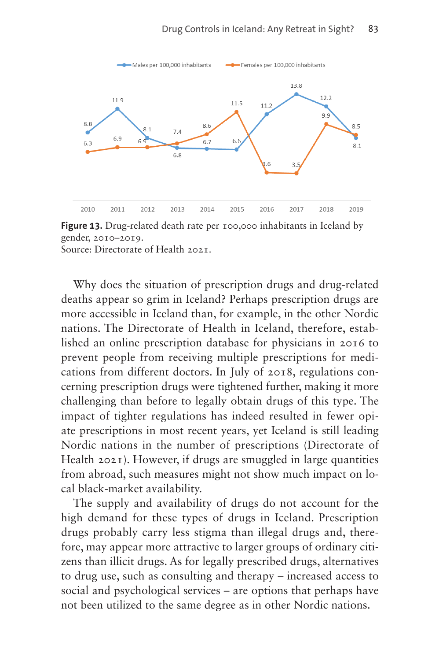

<span id="page-16-0"></span>**Figure 13.** Drug-related death rate per 100,000 inhabitants in Iceland by gender, 2010–2019.

Source: Directorate of Health 2021.

Why does the situation of prescription drugs and drug-related deaths appear so grim in Iceland? Perhaps prescription drugs are more accessible in Iceland than, for example, in the other Nordic nations. The Directorate of Health in Iceland, therefore, established an online prescription database for physicians in 2016 to prevent people from receiving multiple prescriptions for medications from different doctors. In July of 2018, regulations concerning prescription drugs were tightened further, making it more challenging than before to legally obtain drugs of this type. The impact of tighter regulations has indeed resulted in fewer opiate prescriptions in most recent years, yet Iceland is still leading Nordic nations in the number of prescriptions (Directorate of Health 2021). However, if drugs are smuggled in large quantities from abroad, such measures might not show much impact on local black-market availability.

The supply and availability of drugs do not account for the high demand for these types of drugs in Iceland. Prescription drugs probably carry less stigma than illegal drugs and, therefore, may appear more attractive to larger groups of ordinary citizens than illicit drugs. As for legally prescribed drugs, alternatives to drug use, such as consulting and therapy – increased access to social and psychological services – are options that perhaps have not been utilized to the same degree as in other Nordic nations.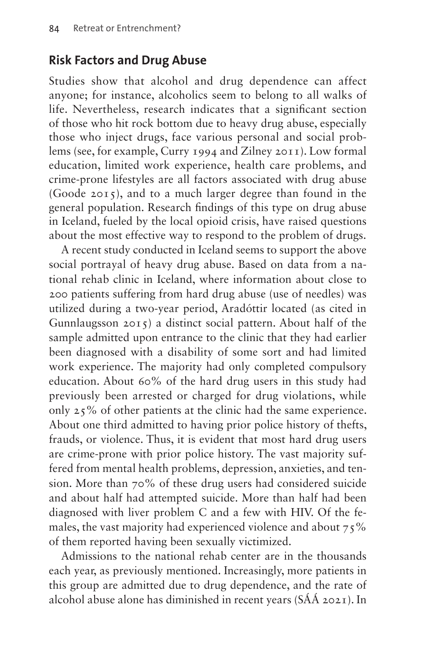### **Risk Factors and Drug Abuse**

Studies show that alcohol and drug dependence can affect anyone; for instance, alcoholics seem to belong to all walks of life. Nevertheless, research indicates that a significant section of those who hit rock bottom due to heavy drug abuse, especially those who inject drugs, face various personal and social problems (see, for example, Curry 1994 and Zilney 2011). Low formal education, limited work experience, health care problems, and crime-prone lifestyles are all factors associated with drug abuse (Goode 2015), and to a much larger degree than found in the general population. Research findings of this type on drug abuse in Iceland, fueled by the local opioid crisis, have raised questions about the most effective way to respond to the problem of drugs.

A recent study conducted in Iceland seems to support the above social portrayal of heavy drug abuse. Based on data from a national rehab clinic in Iceland, where information about close to 200 patients suffering from hard drug abuse (use of needles) was utilized during a two-year period, Aradóttir located (as cited in Gunnlaugsson 2015) a distinct social pattern. About half of the sample admitted upon entrance to the clinic that they had earlier been diagnosed with a disability of some sort and had limited work experience. The majority had only completed compulsory education. About 60% of the hard drug users in this study had previously been arrested or charged for drug violations, while only 25% of other patients at the clinic had the same experience. About one third admitted to having prior police history of thefts, frauds, or violence. Thus, it is evident that most hard drug users are crime-prone with prior police history. The vast majority suffered from mental health problems, depression, anxieties, and tension. More than 70% of these drug users had considered suicide and about half had attempted suicide. More than half had been diagnosed with liver problem C and a few with HIV. Of the females, the vast majority had experienced violence and about  $75\%$ of them reported having been sexually victimized.

Admissions to the national rehab center are in the thousands each year, as previously mentioned. Increasingly, more patients in this group are admitted due to drug dependence, and the rate of alcohol abuse alone has diminished in recent years (SÁÁ 2021). In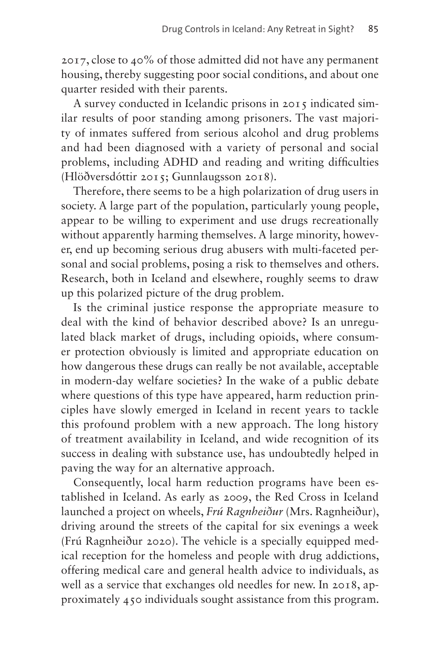2017, close to 40% of those admitted did not have any permanent housing, thereby suggesting poor social conditions, and about one quarter resided with their parents.

A survey conducted in Icelandic prisons in 2015 indicated similar results of poor standing among prisoners. The vast majority of inmates suffered from serious alcohol and drug problems and had been diagnosed with a variety of personal and social problems, including ADHD and reading and writing difficulties (Hlöðversdóttir 2015; Gunnlaugsson 2018).

Therefore, there seems to be a high polarization of drug users in society. A large part of the population, particularly young people, appear to be willing to experiment and use drugs recreationally without apparently harming themselves. A large minority, however, end up becoming serious drug abusers with multi-faceted personal and social problems, posing a risk to themselves and others. Research, both in Iceland and elsewhere, roughly seems to draw up this polarized picture of the drug problem.

Is the criminal justice response the appropriate measure to deal with the kind of behavior described above? Is an unregulated black market of drugs, including opioids, where consumer protection obviously is limited and appropriate education on how dangerous these drugs can really be not available, acceptable in modern-day welfare societies? In the wake of a public debate where questions of this type have appeared, harm reduction principles have slowly emerged in Iceland in recent years to tackle this profound problem with a new approach. The long history of treatment availability in Iceland, and wide recognition of its success in dealing with substance use, has undoubtedly helped in paving the way for an alternative approach.

Consequently, local harm reduction programs have been established in Iceland. As early as 2009, the Red Cross in Iceland launched a project on wheels, *Frú Ragnheiður* (Mrs. Ragnheiður), driving around the streets of the capital for six evenings a week (Frú Ragnheiður 2020). The vehicle is a specially equipped medical reception for the homeless and people with drug addictions, offering medical care and general health advice to individuals, as well as a service that exchanges old needles for new. In 2018, approximately 450 individuals sought assistance from this program.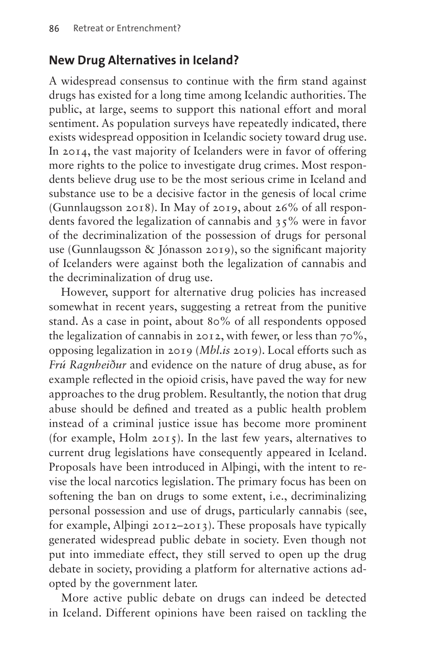#### **New Drug Alternatives in Iceland?**

A widespread consensus to continue with the firm stand against drugs has existed for a long time among Icelandic authorities. The public, at large, seems to support this national effort and moral sentiment. As population surveys have repeatedly indicated, there exists widespread opposition in Icelandic society toward drug use. In 2014, the vast majority of Icelanders were in favor of offering more rights to the police to investigate drug crimes. Most respondents believe drug use to be the most serious crime in Iceland and substance use to be a decisive factor in the genesis of local crime (Gunnlaugsson 2018). In May of 2019, about 26% of all respondents favored the legalization of cannabis and 35% were in favor of the decriminalization of the possession of drugs for personal use (Gunnlaugsson & Jónasson 2019), so the significant majority of Icelanders were against both the legalization of cannabis and the decriminalization of drug use.

However, support for alternative drug policies has increased somewhat in recent years, suggesting a retreat from the punitive stand. As a case in point, about 80% of all respondents opposed the legalization of cannabis in 2012, with fewer, or less than 70%, opposing legalization in 2019 (*Mbl.is* 2019). Local efforts such as *Frú Ragnheiður* and evidence on the nature of drug abuse, as for example reflected in the opioid crisis, have paved the way for new approaches to the drug problem. Resultantly, the notion that drug abuse should be defined and treated as a public health problem instead of a criminal justice issue has become more prominent (for example, Holm 2015). In the last few years, alternatives to current drug legislations have consequently appeared in Iceland. Proposals have been introduced in Alþingi, with the intent to revise the local narcotics legislation. The primary focus has been on softening the ban on drugs to some extent, i.e., decriminalizing personal possession and use of drugs, particularly cannabis (see, for example, Alþingi 2012–2013). These proposals have typically generated widespread public debate in society. Even though not put into immediate effect, they still served to open up the drug debate in society, providing a platform for alternative actions adopted by the government later.

More active public debate on drugs can indeed be detected in Iceland. Different opinions have been raised on tackling the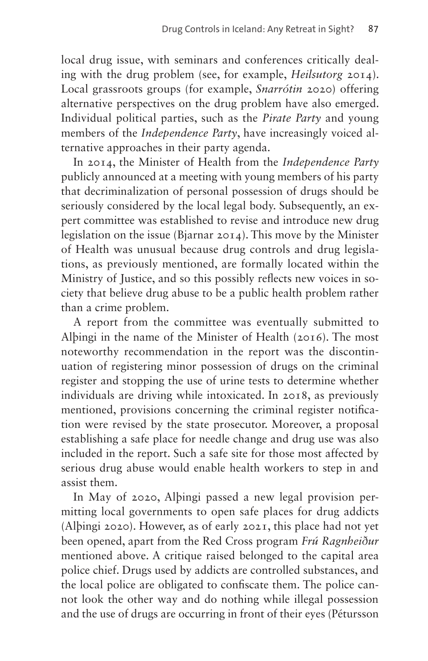local drug issue, with seminars and conferences critically dealing with the drug problem (see, for example, *Heilsutorg* 2014). Local grassroots groups (for example, *Snarrótin* 2020) offering alternative perspectives on the drug problem have also emerged. Individual political parties, such as the *Pirate Party* and young members of the *Independence Party*, have increasingly voiced alternative approaches in their party agenda.

In 2014, the Minister of Health from the *Independence Party* publicly announced at a meeting with young members of his party that decriminalization of personal possession of drugs should be seriously considered by the local legal body. Subsequently, an expert committee was established to revise and introduce new drug legislation on the issue (Bjarnar 2014). This move by the Minister of Health was unusual because drug controls and drug legislations, as previously mentioned, are formally located within the Ministry of Justice, and so this possibly reflects new voices in society that believe drug abuse to be a public health problem rather than a crime problem.

A report from the committee was eventually submitted to Alþingi in the name of the Minister of Health (2016). The most noteworthy recommendation in the report was the discontinuation of registering minor possession of drugs on the criminal register and stopping the use of urine tests to determine whether individuals are driving while intoxicated. In 2018, as previously mentioned, provisions concerning the criminal register notification were revised by the state prosecutor. Moreover, a proposal establishing a safe place for needle change and drug use was also included in the report. Such a safe site for those most affected by serious drug abuse would enable health workers to step in and assist them.

In May of 2020, Alþingi passed a new legal provision permitting local governments to open safe places for drug addicts (Alþingi 2020). However, as of early 2021, this place had not yet been opened, apart from the Red Cross program *Frú Ragnheiður* mentioned above. A critique raised belonged to the capital area police chief. Drugs used by addicts are controlled substances, and the local police are obligated to confiscate them. The police cannot look the other way and do nothing while illegal possession and the use of drugs are occurring in front of their eyes (Pétursson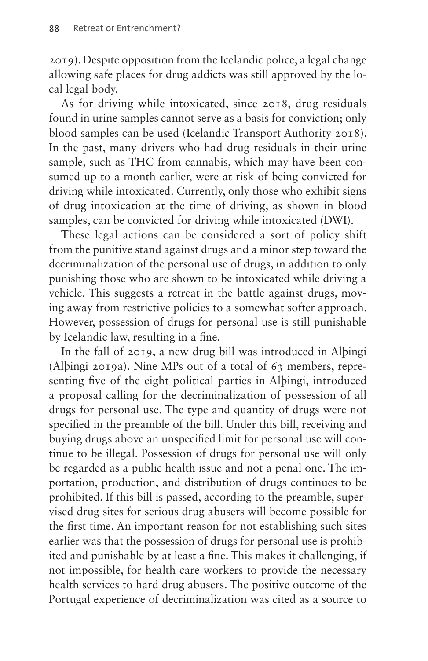2019). Despite opposition from the Icelandic police, a legal change allowing safe places for drug addicts was still approved by the local legal body.

As for driving while intoxicated, since 2018, drug residuals found in urine samples cannot serve as a basis for conviction; only blood samples can be used (Icelandic Transport Authority 2018). In the past, many drivers who had drug residuals in their urine sample, such as THC from cannabis, which may have been consumed up to a month earlier, were at risk of being convicted for driving while intoxicated. Currently, only those who exhibit signs of drug intoxication at the time of driving, as shown in blood samples, can be convicted for driving while intoxicated (DWI).

These legal actions can be considered a sort of policy shift from the punitive stand against drugs and a minor step toward the decriminalization of the personal use of drugs, in addition to only punishing those who are shown to be intoxicated while driving a vehicle. This suggests a retreat in the battle against drugs, moving away from restrictive policies to a somewhat softer approach. However, possession of drugs for personal use is still punishable by Icelandic law, resulting in a fine.

In the fall of 2019, a new drug bill was introduced in Alþingi (Alþingi 2019a). Nine MPs out of a total of 63 members, representing five of the eight political parties in Alþingi, introduced a proposal calling for the decriminalization of possession of all drugs for personal use. The type and quantity of drugs were not specified in the preamble of the bill. Under this bill, receiving and buying drugs above an unspecified limit for personal use will continue to be illegal. Possession of drugs for personal use will only be regarded as a public health issue and not a penal one. The importation, production, and distribution of drugs continues to be prohibited. If this bill is passed, according to the preamble, supervised drug sites for serious drug abusers will become possible for the first time. An important reason for not establishing such sites earlier was that the possession of drugs for personal use is prohibited and punishable by at least a fine. This makes it challenging, if not impossible, for health care workers to provide the necessary health services to hard drug abusers. The positive outcome of the Portugal experience of decriminalization was cited as a source to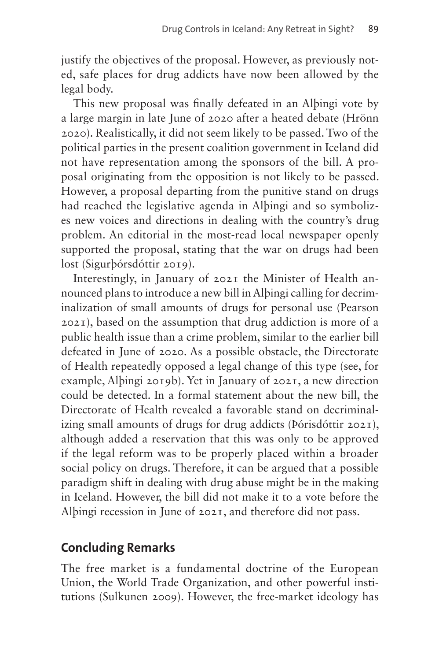justify the objectives of the proposal. However, as previously noted, safe places for drug addicts have now been allowed by the legal body.

This new proposal was finally defeated in an Alþingi vote by a large margin in late June of 2020 after a heated debate (Hrönn 2020). Realistically, it did not seem likely to be passed. Two of the political parties in the present coalition government in Iceland did not have representation among the sponsors of the bill. A proposal originating from the opposition is not likely to be passed. However, a proposal departing from the punitive stand on drugs had reached the legislative agenda in Alþingi and so symbolizes new voices and directions in dealing with the country's drug problem. An editorial in the most-read local newspaper openly supported the proposal, stating that the war on drugs had been lost (Sigurþórsdóttir 2019).

Interestingly, in January of 2021 the Minister of Health announced plans to introduce a new bill in Alþingi calling for decriminalization of small amounts of drugs for personal use (Pearson 2021), based on the assumption that drug addiction is more of a public health issue than a crime problem, similar to the earlier bill defeated in June of 2020. As a possible obstacle, the Directorate of Health repeatedly opposed a legal change of this type (see, for example, Alþingi 2019b). Yet in January of 2021, a new direction could be detected. In a formal statement about the new bill, the Directorate of Health revealed a favorable stand on decriminalizing small amounts of drugs for drug addicts (Þórisdóttir 2021), although added a reservation that this was only to be approved if the legal reform was to be properly placed within a broader social policy on drugs. Therefore, it can be argued that a possible paradigm shift in dealing with drug abuse might be in the making in Iceland. However, the bill did not make it to a vote before the Alþingi recession in June of 2021, and therefore did not pass.

# **Concluding Remarks**

The free market is a fundamental doctrine of the European Union, the World Trade Organization, and other powerful institutions (Sulkunen 2009). However, the free-market ideology has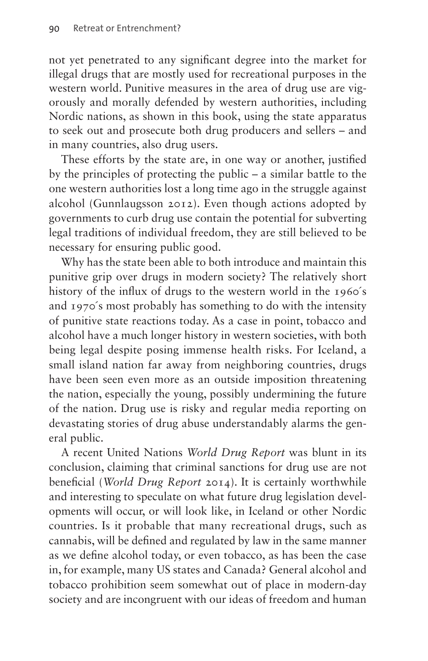not yet penetrated to any significant degree into the market for illegal drugs that are mostly used for recreational purposes in the western world. Punitive measures in the area of drug use are vigorously and morally defended by western authorities, including Nordic nations, as shown in this book, using the state apparatus to seek out and prosecute both drug producers and sellers – and in many countries, also drug users.

These efforts by the state are, in one way or another, justified by the principles of protecting the public – a similar battle to the one western authorities lost a long time ago in the struggle against alcohol (Gunnlaugsson 2012). Even though actions adopted by governments to curb drug use contain the potential for subverting legal traditions of individual freedom, they are still believed to be necessary for ensuring public good.

Why has the state been able to both introduce and maintain this punitive grip over drugs in modern society? The relatively short history of the influx of drugs to the western world in the 1960's and 1970´s most probably has something to do with the intensity of punitive state reactions today. As a case in point, tobacco and alcohol have a much longer history in western societies, with both being legal despite posing immense health risks. For Iceland, a small island nation far away from neighboring countries, drugs have been seen even more as an outside imposition threatening the nation, especially the young, possibly undermining the future of the nation. Drug use is risky and regular media reporting on devastating stories of drug abuse understandably alarms the general public.

A recent United Nations *World Drug Report* was blunt in its conclusion, claiming that criminal sanctions for drug use are not beneficial (*World Drug Report* 2014). It is certainly worthwhile and interesting to speculate on what future drug legislation developments will occur, or will look like, in Iceland or other Nordic countries. Is it probable that many recreational drugs, such as cannabis, will be defined and regulated by law in the same manner as we define alcohol today, or even tobacco, as has been the case in, for example, many US states and Canada? General alcohol and tobacco prohibition seem somewhat out of place in modern-day society and are incongruent with our ideas of freedom and human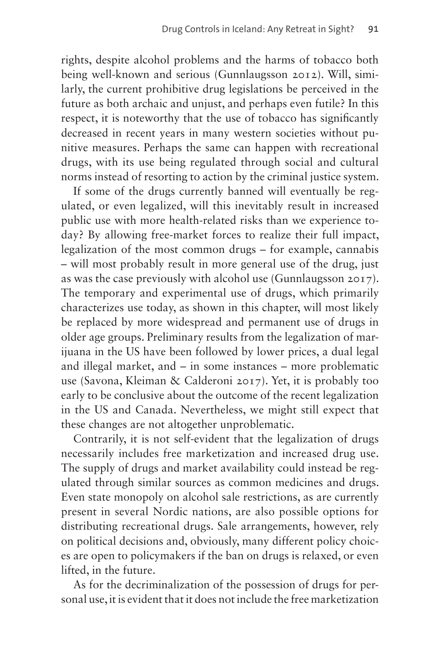rights, despite alcohol problems and the harms of tobacco both being well-known and serious (Gunnlaugsson 2012). Will, similarly, the current prohibitive drug legislations be perceived in the future as both archaic and unjust, and perhaps even futile? In this respect, it is noteworthy that the use of tobacco has significantly decreased in recent years in many western societies without punitive measures. Perhaps the same can happen with recreational drugs, with its use being regulated through social and cultural norms instead of resorting to action by the criminal justice system.

If some of the drugs currently banned will eventually be regulated, or even legalized, will this inevitably result in increased public use with more health-related risks than we experience today? By allowing free-market forces to realize their full impact, legalization of the most common drugs – for example, cannabis – will most probably result in more general use of the drug, just as was the case previously with alcohol use (Gunnlaugsson 2017). The temporary and experimental use of drugs, which primarily characterizes use today, as shown in this chapter, will most likely be replaced by more widespread and permanent use of drugs in older age groups. Preliminary results from the legalization of marijuana in the US have been followed by lower prices, a dual legal and illegal market, and – in some instances – more problematic use (Savona, Kleiman & Calderoni 2017). Yet, it is probably too early to be conclusive about the outcome of the recent legalization in the US and Canada. Nevertheless, we might still expect that these changes are not altogether unproblematic.

Contrarily, it is not self-evident that the legalization of drugs necessarily includes free marketization and increased drug use. The supply of drugs and market availability could instead be regulated through similar sources as common medicines and drugs. Even state monopoly on alcohol sale restrictions, as are currently present in several Nordic nations, are also possible options for distributing recreational drugs. Sale arrangements, however, rely on political decisions and, obviously, many different policy choices are open to policymakers if the ban on drugs is relaxed, or even lifted, in the future.

As for the decriminalization of the possession of drugs for personal use, it is evident that it does not include the free marketization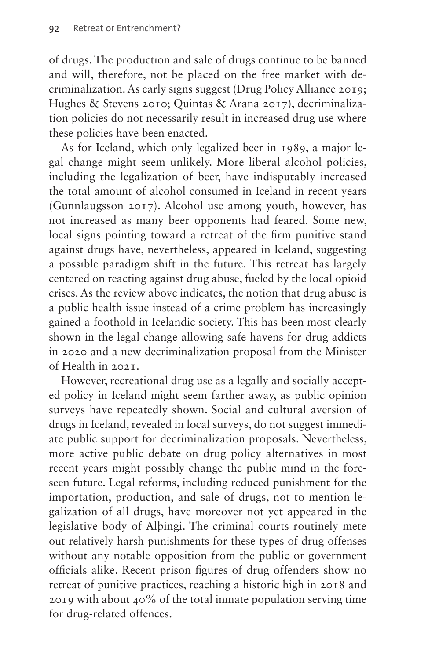of drugs. The production and sale of drugs continue to be banned and will, therefore, not be placed on the free market with decriminalization. As early signs suggest (Drug Policy Alliance 2019; Hughes & Stevens 2010; Quintas & Arana 2017), decriminalization policies do not necessarily result in increased drug use where these policies have been enacted.

As for Iceland, which only legalized beer in 1989, a major legal change might seem unlikely. More liberal alcohol policies, including the legalization of beer, have indisputably increased the total amount of alcohol consumed in Iceland in recent years (Gunnlaugsson 2017). Alcohol use among youth, however, has not increased as many beer opponents had feared. Some new, local signs pointing toward a retreat of the firm punitive stand against drugs have, nevertheless, appeared in Iceland, suggesting a possible paradigm shift in the future. This retreat has largely centered on reacting against drug abuse, fueled by the local opioid crises. As the review above indicates, the notion that drug abuse is a public health issue instead of a crime problem has increasingly gained a foothold in Icelandic society. This has been most clearly shown in the legal change allowing safe havens for drug addicts in 2020 and a new decriminalization proposal from the Minister of Health in 2021.

However, recreational drug use as a legally and socially accepted policy in Iceland might seem farther away, as public opinion surveys have repeatedly shown. Social and cultural aversion of drugs in Iceland, revealed in local surveys, do not suggest immediate public support for decriminalization proposals. Nevertheless, more active public debate on drug policy alternatives in most recent years might possibly change the public mind in the foreseen future. Legal reforms, including reduced punishment for the importation, production, and sale of drugs, not to mention legalization of all drugs, have moreover not yet appeared in the legislative body of Alþingi. The criminal courts routinely mete out relatively harsh punishments for these types of drug offenses without any notable opposition from the public or government officials alike. Recent prison figures of drug offenders show no retreat of punitive practices, reaching a historic high in 2018 and 2019 with about 40% of the total inmate population serving time for drug-related offences.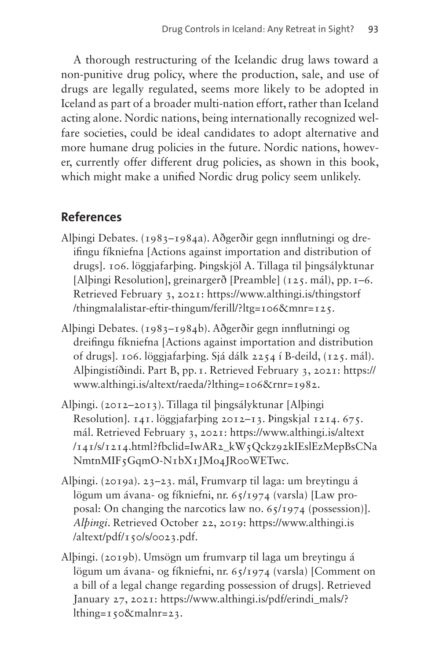A thorough restructuring of the Icelandic drug laws toward a non-punitive drug policy, where the production, sale, and use of drugs are legally regulated, seems more likely to be adopted in Iceland as part of a broader multi-nation effort, rather than Iceland acting alone. Nordic nations, being internationally recognized welfare societies, could be ideal candidates to adopt alternative and more humane drug policies in the future. Nordic nations, however, currently offer different drug policies, as shown in this book, which might make a unified Nordic drug policy seem unlikely.

### **References**

- Alþingi Debates. (1983–1984a). Aðgerðir gegn innflutningi og dreifingu fíkniefna [Actions against importation and distribution of drugs]. 106. löggjafarþing. Þingskjöl A. Tillaga til þingsályktunar [Alþingi Resolution], greinargerð [Preamble] (125. mál), pp.1–6. Retrieved February 3, 2021: [https://www.althingi.is/thingstorf](https://www.althingi.is/thingstorf/thingmalalistar-eftir-thingum/ferill/?ltg=106&mnr=125) [/thingmalalistar-eftir-thingum/ferill/?ltg=106&mnr=125](https://www.althingi.is/thingstorf/thingmalalistar-eftir-thingum/ferill/?ltg=106&mnr=125).
- Alþingi Debates. (1983–1984b). Aðgerðir gegn innflutningi og dreifingu fíkniefna [Actions against importation and distribution of drugs]. 106. löggjafarþing. Sjá dálk 2254 í B-deild, (125. mál). Alþingistíðindi. Part B, pp.1. Retrieved February 3, 2021: [https://](https://www.althingi.is/altext/raeda/?lthing=106&rnr=1982) [www.althingi.is/altext/raeda/?lthing=106&rnr=1982](https://www.althingi.is/altext/raeda/?lthing=106&rnr=1982).
- Alþingi. (2012–2013). Tillaga til þingsályktunar [Alþingi Resolution]. 141. löggjafarþing 2012–13. Þingskjal 1214. 675. mál. Retrieved February 3, 2021: [https://www.althingi.is/altext](https://www.althingi.is/altext/141/s/1214.html?fbclid=IwAR2_kW5Qckz92kIEslEzMepBsCNaNmtnMIF5GqmO-N1bX1JMo4JR00WETwc) [/141/s/1214.html?fbclid=IwAR2\\_kW5Qckz92kIEslEzMepBsCNa](https://www.althingi.is/altext/141/s/1214.html?fbclid=IwAR2_kW5Qckz92kIEslEzMepBsCNaNmtnMIF5GqmO-N1bX1JMo4JR00WETwc) [NmtnMIF5GqmO-N1bX1JMo4JR00WETwc.](https://www.althingi.is/altext/141/s/1214.html?fbclid=IwAR2_kW5Qckz92kIEslEzMepBsCNaNmtnMIF5GqmO-N1bX1JMo4JR00WETwc)
- Alþingi. (2019a). 23–23. mál, Frumvarp til laga: um breytingu á lögum um ávana- og fíkniefni, nr. 65/1974 (varsla) [Law proposal: On changing the narcotics law no. 65/1974 (possession)]. *Alþingi*. Retrieved October 22, 2019: [https://www.althingi.is](https://www.althingi.is/altext/pdf/150/s/0023.pdf)  $/$ altext/pdf/150/s/0023.pdf.
- Alþingi. (2019b). Umsögn um frumvarp til laga um breytingu á lögum um ávana- og fíkniefni, nr. 65/1974 (varsla) [Comment on a bill of a legal change regarding possession of drugs]. Retrieved January 27, 2021: [https://www.althingi.is/pdf/erindi\\_mals/?](https://www.althingi.is/pdf/erindi_mals/?lthing=150&malnr=23) [lthing=150&malnr=23.](https://www.althingi.is/pdf/erindi_mals/?lthing=150&malnr=23)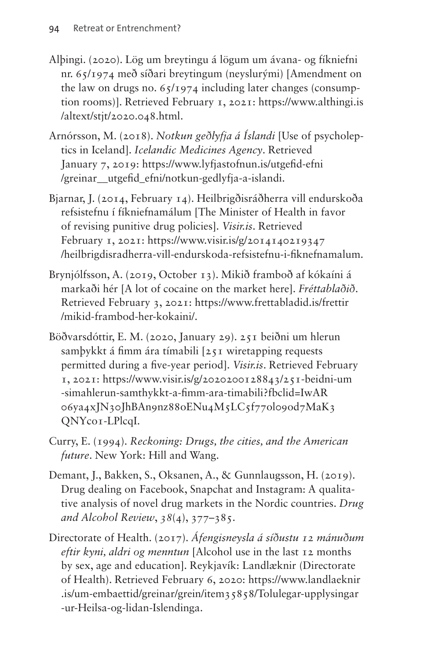- Alþingi. (2020). Lög um breytingu á lögum um ávana- og fíkniefni nr. 65/1974 með síðari breytingum (neyslurými) [Amendment on the law on drugs no.  $65/1974$  including later changes (consumption rooms)]. Retrieved February 1, 2021: [https://www.althingi.is](https://www.althingi.is/altext/stjt/2020.048.html) [/altext/stjt/2020.048.html](https://www.althingi.is/altext/stjt/2020.048.html).
- Arnórsson, M. (2018). *Notkun geðlyfja á Íslandi* [Use of psycholeptics in Iceland]. *Icelandic Medicines Agency*. Retrieved January 7, 2019: [https://www.lyfjastofnun.is/utgefid-efni](https://www.lyfjastofnun.is/utgefid-efni/greinar__utgefid_efni/notkun-gedlyfja-a-islandi) [/greinar\\_\\_utgefid\\_efni/notkun-gedlyfja-a-islandi.](https://www.lyfjastofnun.is/utgefid-efni/greinar__utgefid_efni/notkun-gedlyfja-a-islandi)
- Bjarnar, J. (2014, February 14). Heilbrigðisráðherra vill endurskoða refsistefnu í fíkniefnamálum [The Minister of Health in favor of revising punitive drug policies]. *[Visir.is](http://Visir.is)*. Retrieved February 1, 2021: [https://www.visir.is/g/2014140219347](https://www.visir.is/g/2014140219347/heilbrigdisradherra-vill-endurskoda-refsistefnu-i-fiknefnamalum) [/heilbrigdisradherra-vill-endurskoda-refsistefnu-i-fiknefnamalum](https://www.visir.is/g/2014140219347/heilbrigdisradherra-vill-endurskoda-refsistefnu-i-fiknefnamalum).
- Brynjólfsson, A. (2019, October 13). Mikið framboð af kókaíni á markaði hér [A lot of cocaine on the market here]. *Fréttablaðið*. Retrieved February 3, 2021: [https://www.frettabladid.is/frettir](https://www.frettabladid.is/frettir/mikid-frambod-her-kokaini/) [/mikid-frambod-her-kokaini/.](https://www.frettabladid.is/frettir/mikid-frambod-her-kokaini/)
- Böðvarsdóttir, E. M. (2020, January 29). 251 beiðni um hlerun samþykkt á fimm ára tímabili [251 wiretapping requests permitted during a five-year period]. *[Visir.is](http://Visir.is)*. Retrieved February 1, 2021: [https://www.visir.is/g/2020200128843/251-beidni-um](https://www.visir.is/g/2020200128843/251-beidni-um-simahlerun-samthykkt-a-fimm-ara-timabili?fbclid=IwAR06ya4xJN30JhBAn9nz88oENu4M5LC5f77ol09od7MaK3QNYco1-LPlcqI) [-simahlerun-samthykkt-a-fimm-ara-timabili?fbclid=IwAR](https://www.visir.is/g/2020200128843/251-beidni-um-simahlerun-samthykkt-a-fimm-ara-timabili?fbclid=IwAR06ya4xJN30JhBAn9nz88oENu4M5LC5f77ol09od7MaK3QNYco1-LPlcqI) [06ya4xJN30JhBAn9nz88oENu4M5LC5f77ol09od7MaK3](https://www.visir.is/g/2020200128843/251-beidni-um-simahlerun-samthykkt-a-fimm-ara-timabili?fbclid=IwAR06ya4xJN30JhBAn9nz88oENu4M5LC5f77ol09od7MaK3QNYco1-LPlcqI) [QNYco1-LPlcqI](https://www.visir.is/g/2020200128843/251-beidni-um-simahlerun-samthykkt-a-fimm-ara-timabili?fbclid=IwAR06ya4xJN30JhBAn9nz88oENu4M5LC5f77ol09od7MaK3QNYco1-LPlcqI).
- Curry, E. (1994). *Reckoning: Drugs, the cities, and the American future*. New York: Hill and Wang.
- Demant, J., Bakken, S., Oksanen, A., & Gunnlaugsson, H. (2019). Drug dealing on Facebook, Snapchat and Instagram: A qualitative analysis of novel drug markets in the Nordic countries. *Drug and Alcohol Review*, *38*(4), 377–385.
- Directorate of Health. (2017). *Áfengisneysla á síðustu 12 mánuðum eftir kyni, aldri og menntun* [Alcohol use in the last 12 months by sex, age and education]. Reykjavík: Landlæknir (Directorate of Health). Retrieved February 6, 2020: [https://www.landlaeknir](https://www.landlaeknir.is/um-embaettid/greinar/grein/item35858/Tolulegar-upplysingar-ur-Heilsa-og-lidan-Islendinga) [.is/um-embaettid/greinar/grein/item35858/Tolulegar-upplysingar](https://www.landlaeknir.is/um-embaettid/greinar/grein/item35858/Tolulegar-upplysingar-ur-Heilsa-og-lidan-Islendinga) [-ur-Heilsa-og-lidan-Islendinga.](https://www.landlaeknir.is/um-embaettid/greinar/grein/item35858/Tolulegar-upplysingar-ur-Heilsa-og-lidan-Islendinga)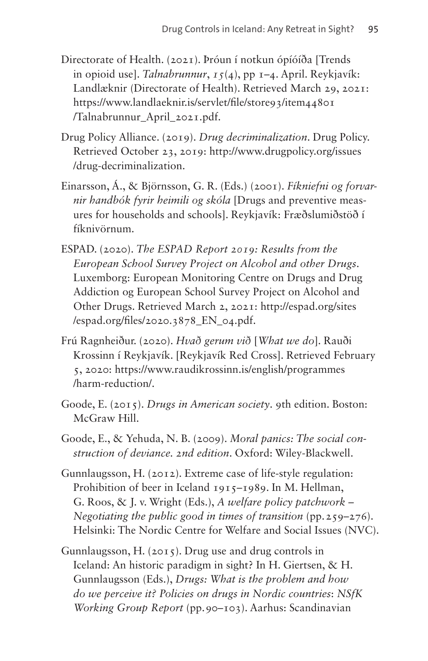- Directorate of Health. (2021). Þróun í notkun ópíóíða [Trends in opioid use]. *Talnabrunnur*, *15*(4), pp 1–4. April. Reykjavík: Landlæknir (Directorate of Health). Retrieved March 29, 2021: [https://www.landlaeknir.is/servlet/file/store93/item44801](https://www.landlaeknir.is/servlet/file/store93/item44801/Talnabrunnur_April_2021.pdf) [/Talnabrunnur\\_April\\_2021.pdf](https://www.landlaeknir.is/servlet/file/store93/item44801/Talnabrunnur_April_2021.pdf).
- Drug Policy Alliance. (2019). *Drug decriminalization*. Drug Policy. Retrieved October 23, 2019: [http://www.drugpolicy.org/issues](http://www.drugpolicy.org/issues/drug-decriminalization) [/drug-decriminalization](http://www.drugpolicy.org/issues/drug-decriminalization).
- Einarsson, Á., & Björnsson, G. R. (Eds.) (2001). *Fíkniefni og forvarnir handbók fyrir heimili og skóla* [Drugs and preventive measures for households and schools]. Reykjavík: Fræðslumiðstöð í fíknivörnum.
- ESPAD. (2020). *The ESPAD Report 2019: Results from the European School Survey Project on Alcohol and other Drugs*. Luxemborg: European Monitoring Centre on Drugs and Drug Addiction og European School Survey Project on Alcohol and Other Drugs. Retrieved March 2, 2021: [http://espad.org/sites](http://espad.org/sites/espad.org/files/2020.3878_EN_04.pdf) [/espad.org/files/2020.3878\\_EN\\_04.pdf.](http://espad.org/sites/espad.org/files/2020.3878_EN_04.pdf)
- Frú Ragnheiður. (2020). *Hvað gerum við* [*What we do*]. Rauði Krossinn í Reykjavík. [Reykjavík Red Cross]. Retrieved February 5, 2020: [https://www.raudikrossinn.is/english/programmes](https://www.raudikrossinn.is/english/programmes/harm-reduction/) [/harm-reduction/.](https://www.raudikrossinn.is/english/programmes/harm-reduction/)
- Goode, E. (2015). *Drugs in American society*. 9th edition. Boston: McGraw Hill.
- Goode, E., & Yehuda, N. B. (2009). *Moral panics: The social construction of deviance. 2nd edition*. Oxford: Wiley-Blackwell.
- Gunnlaugsson, H. (2012). Extreme case of life-style regulation: Prohibition of beer in Iceland 1915–1989. In M. Hellman, G. Roos, & J. v. Wright (Eds.), *A welfare policy patchwork – Negotiating the public good in times of transition* (pp.259–276). Helsinki: The Nordic Centre for Welfare and Social Issues (NVC).
- Gunnlaugsson, H. (2015). Drug use and drug controls in Iceland: An historic paradigm in sight? In H. Giertsen, & H. Gunnlaugsson (Eds.), *Drugs: What is the problem and how do we perceive it? Policies on drugs in Nordic countries*: *NSfK Working Group Report* (pp.90–103). Aarhus: Scandinavian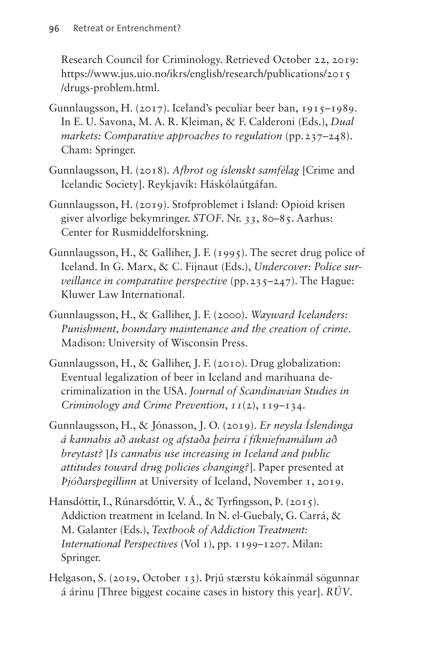Research Council for Criminology. Retrieved October 22, 2019: [https://www.jus.uio.no/ikrs/english/research/publications/2015](https://www.jus.uio.no/ikrs/english/research/publications/2015/drugs-problem.html) [/drugs-problem.html.](https://www.jus.uio.no/ikrs/english/research/publications/2015/drugs-problem.html)

- Gunnlaugsson, H. (2017). Iceland's peculiar beer ban, 1915–1989. In E. U. Savona, M. A. R. Kleiman, & F. Calderoni (Eds.), *Dual markets: Comparative approaches to regulation* (pp.237–248). Cham: Springer.
- Gunnlaugsson, H. (2018). *Afbrot og íslenskt samfélag* [Crime and Icelandic Society]. Reykjavík: Háskólaútgáfan.
- Gunnlaugsson, H. (2019). Stofproblemet i Island: Opioid krisen giver alvorlige bekymringer. *STOF*. Nr. *33*, 80–85. Aarhus: Center for Rusmiddelforskning.
- Gunnlaugsson, H., & Galliher, J. F. (1995). The secret drug police of Iceland. In G. Marx, & C. Fijnaut (Eds.), *Undercover: Police surveillance in comparative perspective* (pp.235–247). The Hague: Kluwer Law International.
- Gunnlaugsson, H., & Galliher, J. F. (2000). *Wayward Icelanders: Punishment, boundary maintenance and the creation of crime*. Madison: University of Wisconsin Press.
- Gunnlaugsson, H., & Galliher, J. F. (2010). Drug globalization: Eventual legalization of beer in Iceland and marihuana decriminalization in the USA. *Journal of Scandinavian Studies in Criminology and Crime Prevention*, *11*(2), 119–134.
- Gunnlaugsson, H., & Jónasson, J. O. (2019). *Er neysla Íslendinga á kannabis að aukast og afstaða þeirra í fíkniefnamálum að breytast?* [*Is cannabis use increasing in Iceland and public attitudes toward drug policies changing?*]. Paper presented at *Þjóðarspegillinn* at University of Iceland, November 1, 2019.
- Hansdóttir, I., Rúnarsdóttir, V. Á., & Tyrfingsson, Þ. (2015). Addiction treatment in Iceland. In N. el-Guebaly, G. Carrá, & M. Galanter (Eds.), *Textbook of Addiction Treatment: International Perspectives* (Vol 1), pp. 1199–1207. Milan: Springer.
- Helgason, S. (2019, October 13). Þrjú stærstu kókaínmál sögunnar á árinu [Three biggest cocaine cases in history this year]. *RÚV*.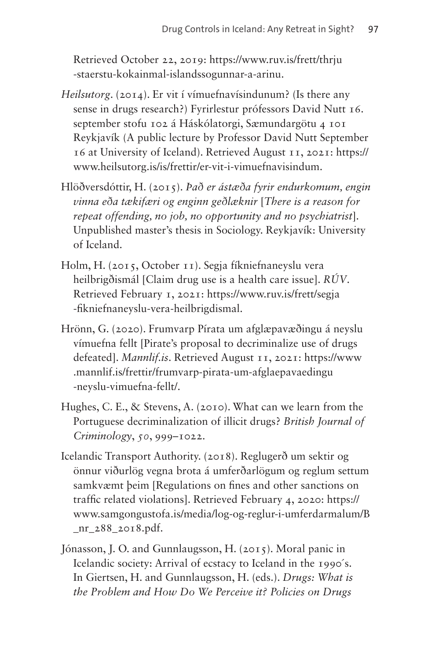Retrieved October 22, 2019: [https://www.ruv.is/frett/thrju](https://www.ruv.is/frett/thrju-staerstu-kokainmal-islandssogunnar-a-arinu) [-staerstu-kokainmal-islandssogunnar-a-arinu.](https://www.ruv.is/frett/thrju-staerstu-kokainmal-islandssogunnar-a-arinu)

- *Heilsutorg*. (2014). Er vit í vímuefnavísindunum? (Is there any sense in drugs research?) Fyrirlestur prófessors David Nutt 16. september stofu 102 á Háskólatorgi, Sæmundargötu 4 101 Reykjavík (A public lecture by Professor David Nutt September 16 at University of Iceland). Retrieved August 11, 2021: [https://](https://www.heilsutorg.is/is/frettir/er-vit-i-vimuefnavisindum) [www.heilsutorg.is/is/frettir/er-vit-i-vimuefnavisindum.](https://www.heilsutorg.is/is/frettir/er-vit-i-vimuefnavisindum)
- Hlöðversdóttir, H. (2015). *Það er ástæða fyrir endurkomum, engin vinna eða tækifæri og enginn geðlæknir* [*There is a reason for repeat offending, no job, no opportunity and no psychiatrist*]. Unpublished master's thesis in Sociology. Reykjavík: University of Iceland.
- Holm, H. (2015, October 11). Segja fíkniefnaneyslu vera heilbrigðismál [Claim drug use is a health care issue]. *RÚV*. Retrieved February 1, 2021: [https://www.ruv.is/frett/segja](https://www.ruv.is/frett/segja-fikniefnaneyslu-vera-heilbrigdismal) [-fikniefnaneyslu-vera-heilbrigdismal](https://www.ruv.is/frett/segja-fikniefnaneyslu-vera-heilbrigdismal).
- Hrönn, G. (2020). Frumvarp Pírata um afglæpavæðingu á neyslu vímuefna fellt [Pirate's proposal to decriminalize use of drugs defeated]. *[Mannlif.is](http://Mannlif.is)*. Retrieved August 11, 2021: [https://www](https://www.mannlif.is/frettir/frumvarp-pirata-um-afglaepavaedingu-neyslu-vimuefna-fellt/) [.mannlif.is/frettir/frumvarp-pirata-um-afglaepavaedingu](https://www.mannlif.is/frettir/frumvarp-pirata-um-afglaepavaedingu-neyslu-vimuefna-fellt/) [-neyslu-vimuefna-fellt/.](https://www.mannlif.is/frettir/frumvarp-pirata-um-afglaepavaedingu-neyslu-vimuefna-fellt/)
- Hughes, C. E., & Stevens, A. (2010). What can we learn from the Portuguese decriminalization of illicit drugs? *British Journal of Criminology*, *50*, 999–1022.
- Icelandic Transport Authority. (2018). Reglugerð um sektir og önnur viðurlög vegna brota á umferðarlögum og reglum settum samkvæmt þeim [Regulations on fines and other sanctions on traffic related violations]. Retrieved February 4, 2020: [https://](https://www.samgongustofa.is/media/log-og-reglur-i-umferdarmalum/B_nr_288_2018.pdf) [www.samgongustofa.is/media/log-og-reglur-i-umferdarmalum/B](https://www.samgongustofa.is/media/log-og-reglur-i-umferdarmalum/B_nr_288_2018.pdf) [\\_nr\\_288\\_2018.pdf.](https://www.samgongustofa.is/media/log-og-reglur-i-umferdarmalum/B_nr_288_2018.pdf)
- Jónasson, J. O. and Gunnlaugsson, H. (2015). Moral panic in Icelandic society: Arrival of ecstacy to Iceland in the 1990´s. In Giertsen, H. and Gunnlaugsson, H. (eds.). *Drugs: What is the Problem and How Do We Perceive it? Policies on Drugs*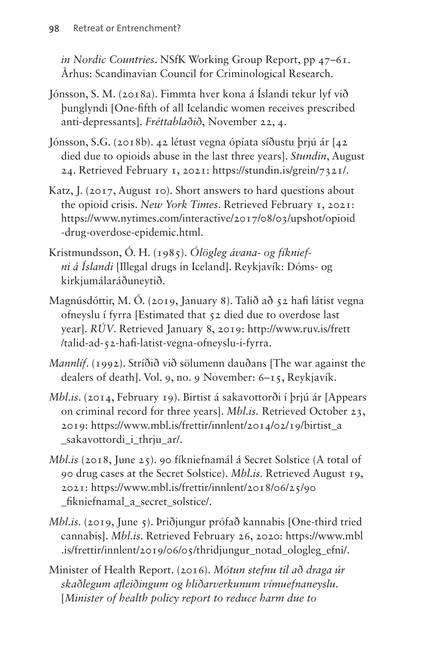*in Nordic Countries*. NSfK Working Group Report, pp 47–61. Århus: Scandinavian Council for Criminological Research.

- Jónsson, S. M. (2018a). Fimmta hver kona á Íslandi tekur lyf við þunglyndi [One-fifth of all Icelandic women receives prescribed anti-depressants]. *Fréttablaðið*, November 22, 4.
- Jónsson, S.G. (2018b). 42 létust vegna ópíata síðustu þrjú ár [42 died due to opioids abuse in the last three years]. *Stundin*, August 24. Retrieved February 1, 2021:<https://stundin.is/grein/7321/>.
- Katz, J. (2017, August 10). Short answers to hard questions about the opioid crisis. *New York Times*. Retrieved February 1, 2021: [https://www.nytimes.com/interactive/2017/08/03/upshot/opioid](https://www.nytimes.com/interactive/2017/08/03/upshot/opioid-drug-overdose-epidemic.html) [-drug-overdose-epidemic.html](https://www.nytimes.com/interactive/2017/08/03/upshot/opioid-drug-overdose-epidemic.html).
- Kristmundsson, Ó. H. (1985). *Ólögleg ávana- og fíkniefni á Íslandi* [Illegal drugs in Iceland]. Reykjavík: Dóms- og kirkjumálaráðuneytið.
- Magnúsdóttir, M. Ó. (2019, January 8). Talið að 52 hafi látist vegna ofneyslu í fyrra [Estimated that 52 died due to overdose last year]. *RÚV*. Retrieved January 8, 2019: [http://www.ruv.is/frett](http://www.ruv.is/frett/talid-ad-52-hafi-latist-vegna-ofneyslu-i-fyrra) [/talid-ad-52-hafi-latist-vegna-ofneyslu-i-fyrra](http://www.ruv.is/frett/talid-ad-52-hafi-latist-vegna-ofneyslu-i-fyrra).
- *Mannlíf*. (1992). Stríðið við sölumenn dauðans [The war against the dealers of death]. Vol. 9, no. 9 November: 6–15, Reykjavík.
- *[Mbl](http://Mbl.is)*.*is*. (2014, February 19). Birtist á sakavottorði í þrjú ár [Appears on criminal record for three years]. *[Mbl.is](http://Mbl.is).* Retrieved October 23, 2019: [https://www.mbl.is/frettir/innlent/2014/02/19/birtist\\_a](https://www.mbl.is/frettir/innlent/2014/02/19/birtist_a_sakavottordi_i_thrju_ar/) [\\_sakavottordi\\_i\\_thrju\\_ar/.](https://www.mbl.is/frettir/innlent/2014/02/19/birtist_a_sakavottordi_i_thrju_ar/)
- *[Mbl.is](http://Mbl.is)* (2018, June 25). 90 fíkniefnamál á Secret Solstice (A total of 90 drug cases at the Secret Solstice). *[Mbl.is](http://Mbl.is).* Retrieved August 19, 2021: [https://www.mbl.is/frettir/innlent/2018/06/25/90](https://www.mbl.is/frettir/innlent/2018/06/25/90_fikniefnamal_a_secret_solstice/) fikniefnamal a secret solstice/.
- *[Mbl.is.](http://Mbl.is)* (2019, June 5). Þriðjungur prófað kannabis [One-third tried cannabis]. *[Mbl.is](http://Mbl.is)*. Retrieved February 26, 2020: [https://www.mbl](https://www.mbl.is/frettir/innlent/2019/06/05/thridjungur_notad_ologleg_efni/) [.is/frettir/innlent/2019/06/05/thridjungur\\_notad\\_ologleg\\_efni/.](https://www.mbl.is/frettir/innlent/2019/06/05/thridjungur_notad_ologleg_efni/)
- Minister of Health Report. (2016). *Mótun stefnu til að draga úr skaðlegum afleiðingum og hliðarverkunum vímuefnaneyslu*. [*Minister of health policy report to reduce harm due to*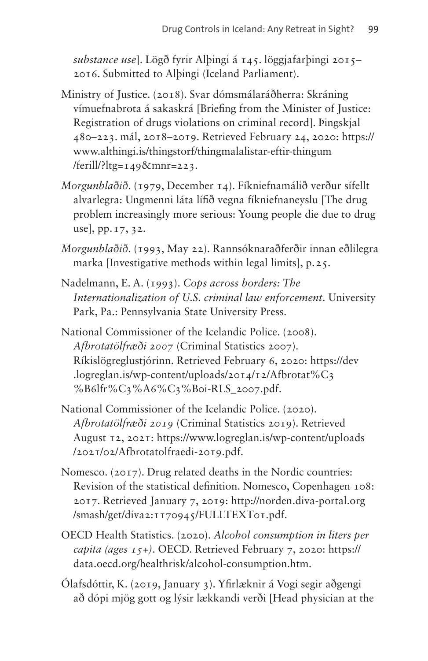*substance use*]. Lögð fyrir Alþingi á 145. löggjafarþingi 2015– 2016. Submitted to Alþingi (Iceland Parliament).

- Ministry of Justice. (2018). Svar dómsmálaráðherra: Skráning vímuefnabrota á sakaskrá [Briefing from the Minister of Justice: Registration of drugs violations on criminal record]. Þingskjal 480–223. mál, 2018–2019. Retrieved February 24, 2020: [https://](https://www.althingi.is/thingstorf/thingmalalistar-eftir-thingum/ferill/?ltg=149&mnr=223) [www.althingi.is/thingstorf/thingmalalistar-eftir-thingum](https://www.althingi.is/thingstorf/thingmalalistar-eftir-thingum/ferill/?ltg=149&mnr=223) [/ferill/?ltg=149&mnr=223.](https://www.althingi.is/thingstorf/thingmalalistar-eftir-thingum/ferill/?ltg=149&mnr=223)
- *Morgunblaðið*. (1979, December 14). Fíkniefnamálið verður sífellt alvarlegra: Ungmenni láta lífið vegna fíkniefnaneyslu [The drug problem increasingly more serious: Young people die due to drug use], pp.17, 32.
- *Morgunblaðið*. (1993, May 22). Rannsóknaraðferðir innan eðlilegra marka [Investigative methods within legal limits], p.25.
- Nadelmann, E. A. (1993). *Cops across borders: The Internationalization of U.S. criminal law enforcement*. University Park, Pa.: Pennsylvania State University Press.
- National Commissioner of the Icelandic Police. (2008). *Afbrotatölfræði 2007* (Criminal Statistics 2007). Ríkislögreglustjórinn. Retrieved February 6, 2020: [https://dev](https://dev.logreglan.is/wp-content/uploads/2014/12/Afbrotat%C3%B6lfr%C3%A6%C3%B0i-RLS_2007.pdf) [.logreglan.is/wp-content/uploads/2014/12/Afbrotat%C3](https://dev.logreglan.is/wp-content/uploads/2014/12/Afbrotat%C3%B6lfr%C3%A6%C3%B0i-RLS_2007.pdf) [%B6lfr%C3%A6%C3%B0i-RLS\\_2007.pdf.](https://dev.logreglan.is/wp-content/uploads/2014/12/Afbrotat%C3%B6lfr%C3%A6%C3%B0i-RLS_2007.pdf)
- National Commissioner of the Icelandic Police. (2020). *Afbrotatölfræði 2019* (Criminal Statistics 2019). Retrieved August 12, 2021: [https://www.logreglan.is/wp-content/uploads](https://www.logreglan.is/wp-content/uploads/2021/02/Afbrotatolfraedi-2019.pdf) [/2021/02/Afbrotatolfraedi-2019.pdf](https://www.logreglan.is/wp-content/uploads/2021/02/Afbrotatolfraedi-2019.pdf).
- Nomesco. (2017). Drug related deaths in the Nordic countries: Revision of the statistical definition. Nomesco, Copenhagen 108: 2017. Retrieved January 7, 2019: [http://norden.diva-portal.org](http://norden.diva-portal.org/smash/get/diva2) [/smash/get/diva2:](http://norden.diva-portal.org/smash/get/diva2)1170945/FULLTEXT01.pdf.
- OECD Health Statistics. (2020). *Alcohol consumption in liters per capita (ages 15+)*. OECD. Retrieved February 7, 2020: [https://](https://data.oecd.org/healthrisk/alcohol-consumption.htm) [data.oecd.org/healthrisk/alcohol-consumption.htm](https://data.oecd.org/healthrisk/alcohol-consumption.htm).
- Ólafsdóttir, K. (2019, January 3). Yfirlæknir á Vogi segir aðgengi að dópi mjög gott og lýsir lækkandi verði [Head physician at the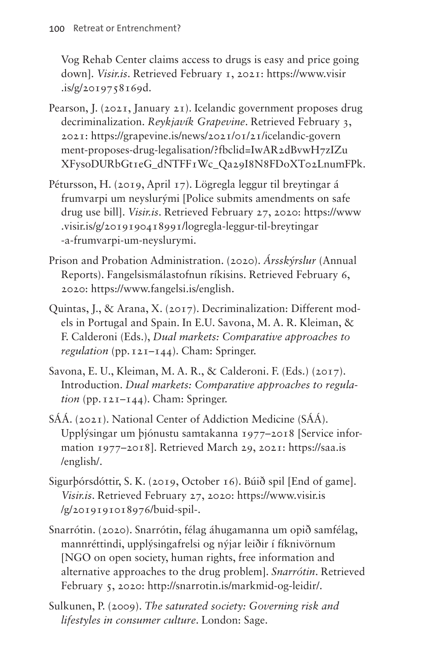Vog Rehab Center claims access to drugs is easy and price going down]. *[Visir.is](http://Visir.is)*. Retrieved February 1, 2021: [https://www.visir](https://www.visir.is/g/2019758169d) [.is/g/2019758169d.](https://www.visir.is/g/2019758169d)

- Pearson, J. (2021, January 21). Icelandic government proposes drug decriminalization. *Reykjavík Grapevine*. Retrieved February 3, 2021: [https://grapevine.is/news/2021/01/21/icelandic-govern](https://grapevine.is/news/2021/01/21/icelandic-government-proposes-drug-legalisation/?fbclid=IwAR2dBvwH7zIZuXFysoDURbGt1eG_dNTFF1Wc_Qa29I8N8FDoXT02LnumFPk) [ment-proposes-drug-legalisation/?fbclid=IwAR2dBvwH7zIZu](https://grapevine.is/news/2021/01/21/icelandic-government-proposes-drug-legalisation/?fbclid=IwAR2dBvwH7zIZuXFysoDURbGt1eG_dNTFF1Wc_Qa29I8N8FDoXT02LnumFPk) [XFysoDURbGt1eG\\_dNTFF1Wc\\_Qa29I8N8FDoXT02LnumFPk.](https://grapevine.is/news/2021/01/21/icelandic-government-proposes-drug-legalisation/?fbclid=IwAR2dBvwH7zIZuXFysoDURbGt1eG_dNTFF1Wc_Qa29I8N8FDoXT02LnumFPk)
- Pétursson, H. (2019, April 17). Lögregla leggur til breytingar á frumvarpi um neyslurými [Police submits amendments on safe drug use bill]. *[Visir.is](http://Visir.is)*. Retrieved February 27, 2020: [https://www](https://www.visir.is/g/2019190418991/logregla-leggur-til-breytingar-a-frumvarpi-um-neyslurymi) [.visir.is/g/2019190418991/logregla-leggur-til-breytingar](https://www.visir.is/g/2019190418991/logregla-leggur-til-breytingar-a-frumvarpi-um-neyslurymi) [-a-frumvarpi-um-neyslurymi](https://www.visir.is/g/2019190418991/logregla-leggur-til-breytingar-a-frumvarpi-um-neyslurymi).
- Prison and Probation Administration. (2020). *Ársskýrslur* (Annual Reports). Fangelsismálastofnun ríkisins. Retrieved February 6, 2020: [https://www.fangelsi.is/english.](https://www.fangelsi.is/english)
- Quintas, J., & Arana, X. (2017). Decriminalization: Different models in Portugal and Spain. In E.U. Savona, M. A. R. Kleiman, & F. Calderoni (Eds.), *Dual markets: Comparative approaches to regulation* (pp.121–144). Cham: Springer.
- Savona, E. U., Kleiman, M. A. R., & Calderoni. F. (Eds.) (2017). Introduction. *Dual markets: Comparative approaches to regula- (pp.*  $121-144$ *). Cham: Springer.*
- SÁÁ. (2021). National Center of Addiction Medicine (SÁÁ). Upplýsingar um þjónustu samtakanna 1977–2018 [Service information 1977–2018]. Retrieved March 29, 2021: [https://saa.is](https://saa.is/english/) [/english/](https://saa.is/english/).
- Sigurþórsdóttir, S. K. (2019, October 16). Búið spil [End of game]. *[Visir.is](http://Visir.is)*. Retrieved February 27, 2020: [https://www.visir.is](https://www.visir.is/g/2019191018976/buid-spil-) [/g/2019191018976/buid-spil-](https://www.visir.is/g/2019191018976/buid-spil-).
- Snarrótin. (2020). Snarrótin, félag áhugamanna um opið samfélag, mannréttindi, upplýsingafrelsi og nýjar leiðir í fíknivörnum [NGO on open society, human rights, free information and alternative approaches to the drug problem]. *Snarrótin*. Retrieved February 5, 2020: <http://snarrotin.is/markmid-og-leidir/>.
- Sulkunen, P. (2009). *The saturated society: Governing risk and lifestyles in consumer culture*. London: Sage.